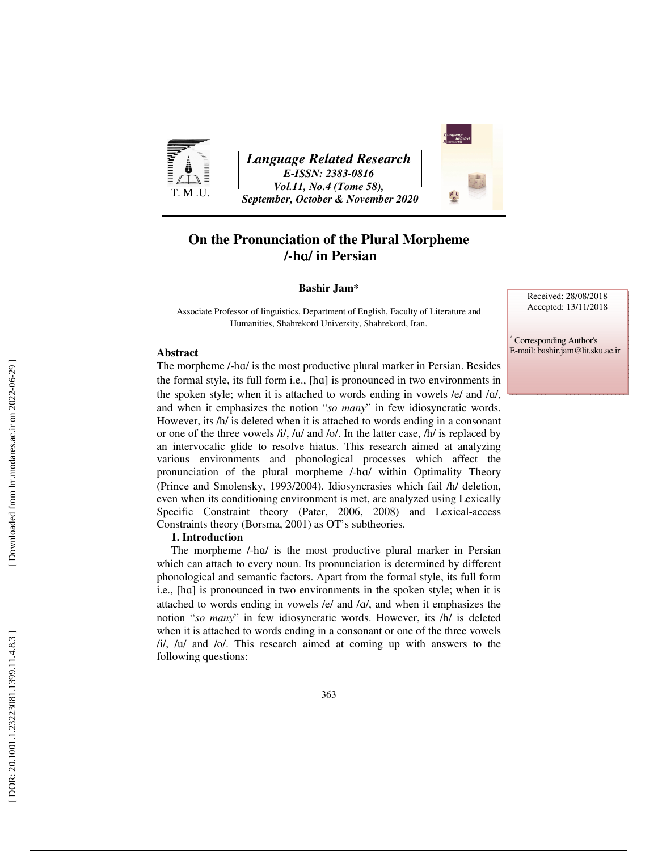

*Language Related Research E-ISSN: 2383-0816 Vol.11, No.4 (Tome 58), September, October & November 2020* 



# **On the Pronunciation of the Plural Morpheme /-h**@**/ in Persian**

#### **Bashir Jam\***

Associate Professor of linguistics, Department of English, Faculty of Literature and Humanities, Shahrekord University, Shahrekord, Iran.

#### **Abstract**

The morpheme /-ha/ is the most productive plural marker in Persian. Besides the formal style, its full form i.e., [ha] is pronounced in two environments in the spoken style; when it is attached to words ending in vowels /e/ and /a/, and when it emphasizes the notion "*so many*" in few idiosyncratic words. However, its /h/ is deleted when it is attached to words ending in a consonant or one of the three vowels /i/, /u/ and /o/. In the latter case, /h/ is replaced by an intervocalic glide to resolve hiatus. This research aimed at analyzing various environments and phonological processes which affect the pronunciation of the plural morpheme /-ha/ within Optimality Theory (Prince and Smolensky, 1993/2004). Idiosyncrasies which fail /h/ deletion, even when its conditioning environment is met, are analyzed using Lexically Specific Constraint theory (Pater, 2006, 2008) and Lexical-access Constraints theory (Borsma, 2001) as OT's subtheories.

#### **1. Introduction**

The morpheme /-ha/ is the most productive plural marker in Persian which can attach to every noun. Its pronunciation is determined by different phonological and semantic factors. Apart from the formal style, its full form i.e., [h @] is pronounced in two environments in the spoken style; when it is attached to words ending in vowels /e/ and /a/, and when it emphasizes the notion "*so many*" in few idiosyncratic words. However, its /h/ is deleted when it is attached to words ending in a consonant or one of the three vowels /i/, /u/ and /o/. This research aimed at coming up with answers to the following questions:

Received: 28/08/2018 Accepted: 13/11/2018

∗ Corresponding Author's E-mail: bashir.jam@lit.sku.ac.ir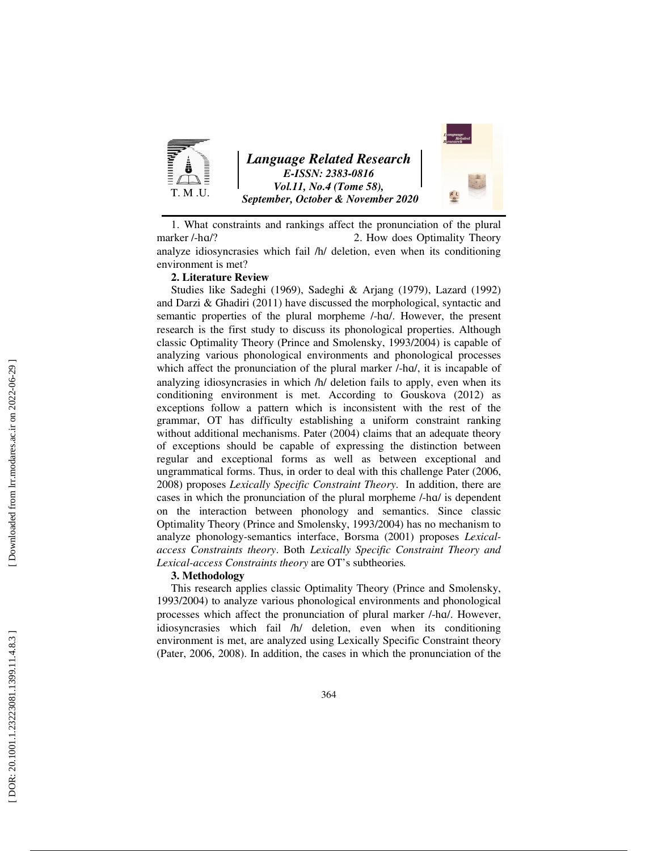

1. What constraints and rankings affect the pronunciation of the plural marker /-ha/? 2. How does Optimality Theory analyze idiosyncrasies which fail /h/ deletion, even when its conditioning environment is met?

#### **2. Literature Review**

Studies like Sadeghi (1969), Sadeghi & Arjang (1979), Lazard (1992) and Darzi & Ghadiri (2011) have discussed the morphological, syntactic and semantic properties of the plural morpheme /-ha/. However, the present research is the first study to discuss its phonological properties. Although classic Optimality Theory (Prince and Smolensky, 1993/2004) is capable of analyzing various phonological environments and phonological processes which affect the pronunciation of the plural marker /-ha/, it is incapable of analyzing idiosyncrasies in which /h/ deletion fails to apply, even when its conditioning environment is met. According to Gouskova (2012) as exceptions follow a pattern which is inconsistent with the rest of the grammar, OT has difficulty establishing a uniform constraint ranking without additional mechanisms. Pater (2004) claims that an adequate theory of exceptions should be capable of expressing the distinction between regular and exceptional forms as well as between exceptional and ungrammatical forms. Thus, in order to deal with this challenge Pater (2006, 2008) proposes *Lexically Specific Constraint Theory*. In addition, there are cases in which the pronunciation of the plural morpheme /-ha/ is dependent on the interaction between phonology and semantics. Since classic Optimality Theory (Prince and Smolensky, 1993/2004) has no mechanism to analyze phonology-semantics interface, Borsma (2001) proposes *Lexicalaccess Constraints theory*. Both *Lexically Specific Constraint Theory and Lexical-access Constraints theory* are OT's subtheories*.* 

#### **3. Methodology**

This research applies classic Optimality Theory (Prince and Smolensky, 1993/2004) to analyze various phonological environments and phonological processes which affect the pronunciation of plural marker /-ha/. However, idiosyncrasies which fail /h/ deletion, even when its conditioning environment is met, are analyzed using Lexically Specific Constraint theory (Pater, 2006, 2008). In addition, the cases in which the pronunciation of the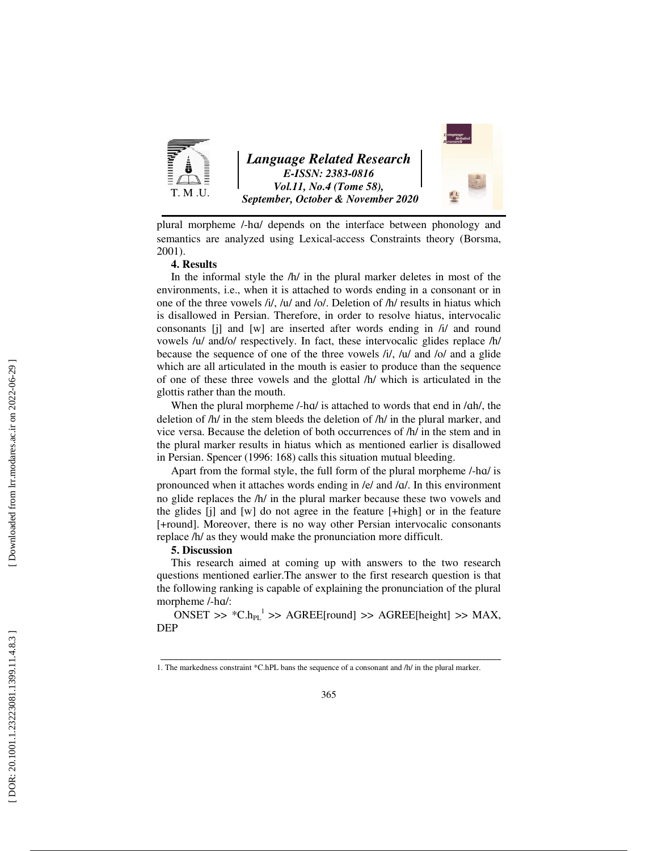



plural morpheme /-ha/ depends on the interface between phonology and semantics are analyzed using Lexical-access Constraints theory (Borsma, 2001).

#### **4. Results**

In the informal style the /h/ in the plural marker deletes in most of the environments, i.e., when it is attached to words ending in a consonant or in one of the three vowels /i/, /u/ and /o/. Deletion of /h/ results in hiatus which is disallowed in Persian. Therefore, in order to resolve hiatus, intervocalic consonants [j] and [w] are inserted after words ending in /i/ and round vowels /u/ and/o/ respectively. In fact, these intervocalic glides replace /h/ because the sequence of one of the three vowels /i/, /u/ and /o/ and a glide which are all articulated in the mouth is easier to produce than the sequence of one of these three vowels and the glottal /h/ which is articulated in the glottis rather than the mouth.

When the plural morpheme /-ha/ is attached to words that end in /ah/, the deletion of /h/ in the stem bleeds the deletion of /h/ in the plural marker, and vice versa. Because the deletion of both occurrences of /h/ in the stem and in the plural marker results in hiatus which as mentioned earlier is disallowed in Persian. Spencer (1996: 168) calls this situation mutual bleeding.

Apart from the formal style, the full form of the plural morpheme /-ha/ is pronounced when it attaches words ending in /e/ and /a/. In this environment no glide replaces the /h/ in the plural marker because these two vowels and the glides [j] and [w] do not agree in the feature [+high] or in the feature [+round]. Moreover, there is no way other Persian intervocalic consonants replace /h/ as they would make the pronunciation more difficult.

#### **5. Discussion**

This research aimed at coming up with answers to the two research questions mentioned earlier.The answer to the first research question is that the following ranking is capable of explaining the pronunciation of the plural morpheme /-ha/:

ONSET >>  $*C.h_{PL}$ <sup>1</sup> >> AGREE[round] >> AGREE[height] >> MAX, DEP

ــــــــــــــــــــــــــــــــــــــــــــــــــــــــــــــــــــــــــــــــــــــــــــــــــــــــــــــــــــــــــــــــــــــــــــــــــــــــــــــــــــــــــــــــــــــــــــــــــــــــــــــــــــــــــــــــــــــــ

<sup>1.</sup> The markedness constraint \*C.hPL bans the sequence of a consonant and /h/ in the plural marker.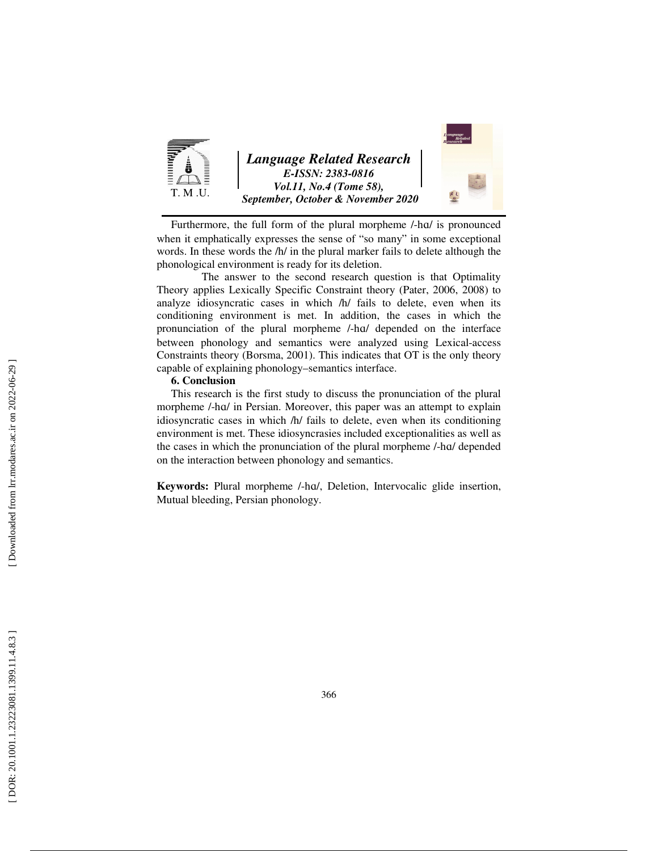

Furthermore, the full form of the plural morpheme /-ha/ is pronounced when it emphatically expresses the sense of "so many" in some exceptional words. In these words the /h/ in the plural marker fails to delete although the phonological environment is ready for its deletion.

 The answer to the second research question is that Optimality Theory applies Lexically Specific Constraint theory (Pater, 2006, 2008) to analyze idiosyncratic cases in which /h/ fails to delete, even when its conditioning environment is met. In addition, the cases in which the pronunciation of the plural morpheme /-ha/ depended on the interface between phonology and semantics were analyzed using Lexical-access Constraints theory (Borsma, 2001). This indicates that OT is the only theory capable of explaining phonology–semantics interface.

#### **6. Conclusion**

This research is the first study to discuss the pronunciation of the plural morpheme /-ha/ in Persian. Moreover, this paper was an attempt to explain idiosyncratic cases in which /h/ fails to delete, even when its conditioning environment is met. These idiosyncrasies included exceptionalities as well as the cases in which the pronunciation of the plural morpheme /-ha/ depended on the interaction between phonology and semantics.

Keywords: Plural morpheme /-ha/, Deletion, Intervocalic glide insertion, Mutual bleeding, Persian phonology.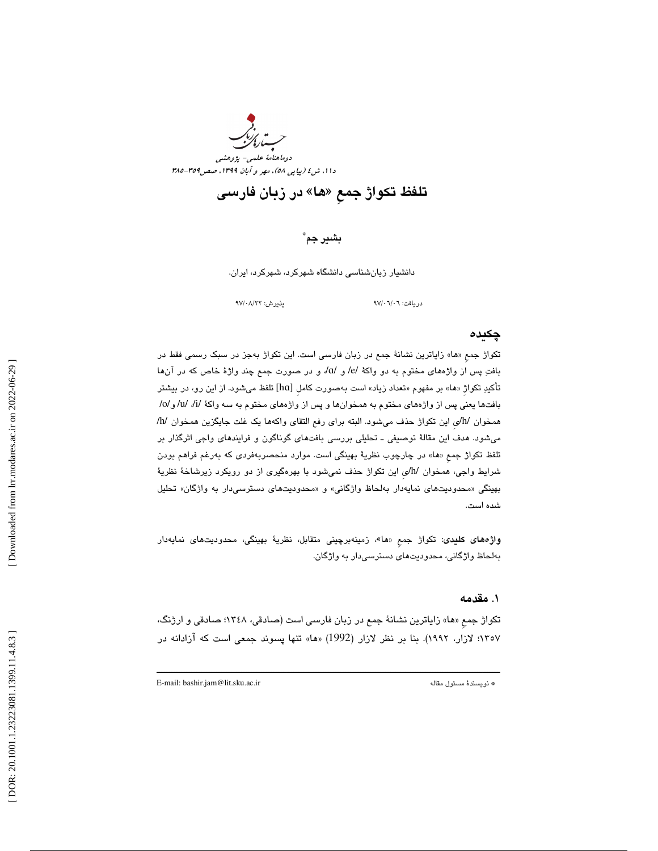

# تلفظ تكواژ جمعِ «ها» در زبان فارس*ی*

# بشير جم \*

دانشيار زبانشناسي دانشگاه شهركرد، شهركرد، ايران.

دريافت: ٦٧/٠٦/٠٦ پذيرش: ٩٧/٠٨/٢٢

## چكيده

تكواژ جمع «ها» زایاترین نشانهٔ جمع در زبان فارسی است. این تكواژ بهجز در سبک رسمی فقط در بافتِ پس از واژههای مختوم به دو واكهٔ /e/ و /a/ و در صورت جمع چند واژهٔ خاص كه در آنها تأكيدِ تكواژ «ها» بر مفهوم «تعداد زياد» است بهصورت كامل [hɑ] تلفظ مىشود. از اين رو، در بيشتر بافتها يعني پس از واژههاي مختوم به همخوانها و پس از واژههاي مختوم به سه واكة /i،/ /u/ و /o/ همخوان /h/ي اين تكواژ حذف مي شود. البته براي رفع التقاي واكهها يك غلت جايگزين همخوان /h/ ميشود. هدف اين مقالة توصيفي ـ تحليلي بررسي بافت هاي گوناگون و فرايندهاي واجي اثرگذار بر تلفظ تكواژ جمع «ها» در چارچوب نظريهٔ بهينگي است. موارد منحصربهفردی كه بهرغم فراهم بودن شرايط واجي، همخوان /h/يِ اين تكواژ حذف نميشود با بهرهگيري از دو رويكرد زيرشاخة نظرية بهينگي «محدوديتهاي نمايهدار بهلحاظ واژگاني» و «محدوديتهاي دسترسيدار به واژگان» تحليل شده است.

**واژههای کلیدی**: تکواژ جمعِ «ها»، زمینهبرچینی متقابل، نظریهٔ بهینگی، محدودیتهای نمایهدار بهلحاظ واژگاني، محدوديتهاي دسترسيدار به واژگان.

# ۱. مقدمه

تكواژ جمع «ها» زاياترين نشانهٔ جمع در زبان فارس*ي* است (صادقي، ۱۳٤۸؛ صادقي و ارژنگ، 1357؛ لازار، 1992). بنا بر نظر لازار (1992) « » ها تنها پسوند جمعي است كه آزادانه در

ــــــــــــــــــــــــــــــــــــــــــــــــــــــــــــــــــــــــــــــــــــــــــــــــــــــــــــــــــــــــــــــــــــــــــ

E-mail: bashir.jam@lit.sku.ac.ir مقاله مسئول نويسندة \*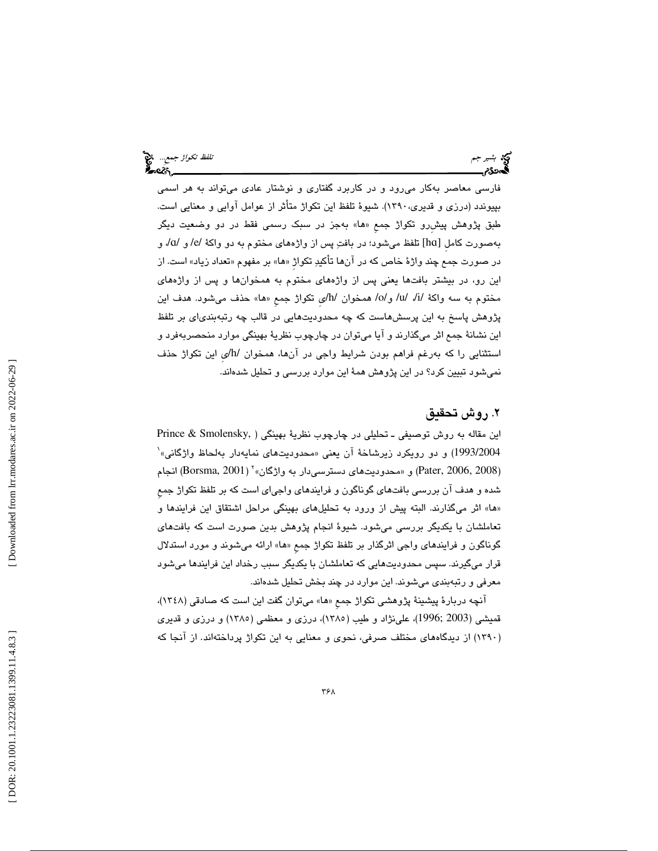بي بشير جم تلفظ تكو*اژ جمع...*<br>بيج تكوير المستخدم المستخدم المستخدم المستخدم المستخدم المستخدم المستخدم المستخدم المستخدم المستخدم المستخدم ال<br>المستخدم المستخدم المستخدم المستخدم المستخدم المستخدم المستخدم المستخدم المستخ

فارسي معاصر بهكار ميرود و در كاربرد گفتاري و نوشتار عادي ميتواند به هر اسمي بپيوندد (درزي و قديري1390،). شيوة تلفظ اين تكواژ متأثر از عوامل آوايي و معنايي است. طبق پژوهش پیش٫رو تكواژ جمع «ها» بهجز در سبک رسمی فقط در دو وضعیت دیگر بهصورت كامل [ha] تلفظ مىشود؛ در بافتِ پس از واژههاى مختوم به دو واكهٔ /e/ و /a/ و در صورت جمع چند واژهٔ خاص كه در انها تاكيدِ تكواژ «ها» بر مفهوم «تعداد زياد» است. از اين رو، در بيشتر بافتها يعني پس از واژههاي مختوم به همخوانها و پس از واژههاي مختوم به سه واكة /u/ /u/ و/o/ همخوان /h/ي تكواژ جمع «ها» حذف ميشود. هدف اين پژوهش پاسخ به اين پرسشهاست كه چه محدوديتهايي در قالب چه رتبهبندياي بر تلفظ اين نشانة جمع اثر ميگذارند و آيا ميتوان در چارچوب نظرية بهينگي موارد منحصربهفرد و استثنايي را كه بهرغم فراهم بودن شرايط واجي در آنها، همخوان /h/يِ اين تكواژ حذف نميشود تبيين كرد؟ در اين پژوهش همهٔ اين موارد بررسي و تحليل شدهاند.

# ۲. روش تحقيق

این مقاله به روش توصیفی ــ تحلیلی در چارچوب نظریهٔ بهینگی ( Prince & Smolensky, 1993/2004) و دو رويكرد زيرشاخهٔ آن يعني «محدوديتهای نمايهدار بهلحاظ واژگانی»<sup>٬</sup> (Pater, 2006, 2008) و «محدودیتهای دسترسیدار به واژگان»٬ (Borsma, 2001) انجام شد وه هدف آن بررسي بافتهاي گوناگون و فرايندهاي واجي اي است كه بر تلفظ تكواژ جمعِ «ها» اثر میگذارند. البته پیش از ورود به تحلیلهای بهینگی مراحل اشتقاق این فرایندها و تعاملشان با يكديگر بررسی میشود. شيوهٔ انجام پژوهش بدين صورت است كه بافتهای گوناگون و فرايند*های و*اجی اثرگذار بر تلفظ تكواژ جمع «ها» ارائه میشوند و مورد استدلال قرار ميگيرند. سپس محدوديتهايي كه تعاملشان با يكديگر سبب رخداد اين فرايندها ميشود معرفي و رتبه بندي ميشوند. اين موارد در چند بخش تحليل شدهاند.

انچه دربارهٔ پیشینهٔ پژوهشی تکواژ جمع «ها» میتوان گفت این است که صادقی (۱۳٤۸)، قميشي (2003 ;1996)، علينژاد و طيب (1385)، درزي و معظمي (1385) و درزي و قديري (۱۳۹۰) از دیدگاههای مختلف صرفی، نحوی و معنایی به این تکواژ پرداختهاند. از آنجا که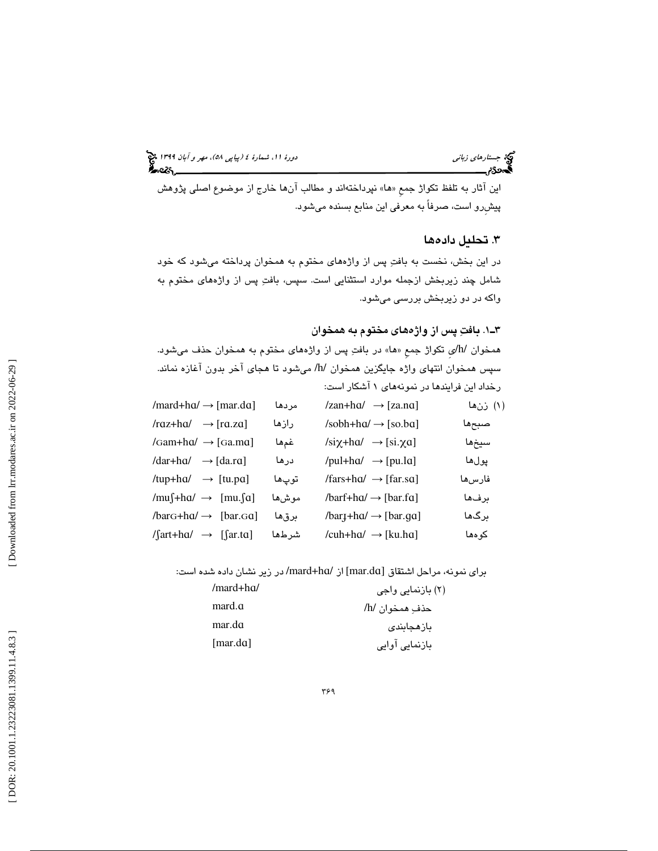این اثار به تلفظ تکواژ جمع «ها» نپرداختهاند و مطالب انها خارج از موضوع اصلی پژوهش پيشِرو است، صرفاً به معرفي اين منابع بسنده ميشود.

# . تحليل داده ها 3

در اين بخش، نخست به بافت پس از واژههاي مختوم به همخوان پرداخته ميشود كه خود شامل چند زيربخش ازجمله موارد استثنايي است. سپس، بافت پس از واژههاي مختوم به واكه در دو زيربخش بررسي ميشود.

### . 1ـ3 بافت پس از واژههاي مختوم به همخوان

همخوان /h/ي تكواژ جمعِ «ها» در بافتِ پس از واژههاي مختوم به همخوان حذف ميشود. سپس همخوان انتهاي واژه جايگزين همخوان /h/ ميشود تا هجاي آخر بدون آغازه نماند. رخداد اين فرايندها در نمونههاي 1 آشكار است:

| /mard+ha/ $\rightarrow$ [mar.da]                                     | مردها   | $/zan+ha/ \rightarrow [za.na]$                 | (۱) زنها |
|----------------------------------------------------------------------|---------|------------------------------------------------|----------|
| $/raz+ha' \rightarrow [ra.za]$                                       | ر از ها | $/sobh + ha \rightarrow [so.ba]$               | صبحها    |
| $\text{Gamma} \rightarrow \text{[Ga.ma]}$                            | غمها    | $/si\chi + ha/ \rightarrow [si.\chi a]$        | سيخها    |
| $\text{d}$ ar+ha $\rightarrow$ [da.ra]                               | در ها   | /pul+ha/ $\rightarrow$ [pu.la]                 | پولھا    |
| /tup+ha/ $\rightarrow$ [tu.pa]                                       | توپھا   | $\text{Ifars+ha/} \rightarrow \text{[far.sa]}$ | فار س ها |
| /mu $\int$ +ha/ $\rightarrow$ [mu. $\int$ a]                         | مو ش ها | $/barf+ha/ \rightarrow [bar.fa]$               | برفها    |
| $/bar\text{G+ha}/ \rightarrow [bar\text{G}a]$                        | برقها   | $/bar1+ha/ \rightarrow [bar.ga]$               | برگھا    |
| $\int \int \arctan \theta dx$ $\rightarrow$ $\int \arctan \theta dx$ | شرطها   | /cuh+ha/ $\rightarrow$ [ku.ha]                 | کو هها   |

برای نمونه، مراحل اشتقاق [mar.dɑ] از /mard+ha/ در زیر نشان داده شده است:

| (۲) بازنمایی واجی |
|-------------------|
| حذف همخوان /h/    |
| بازهجابندى        |
| بازنمایی آوایی    |
|                   |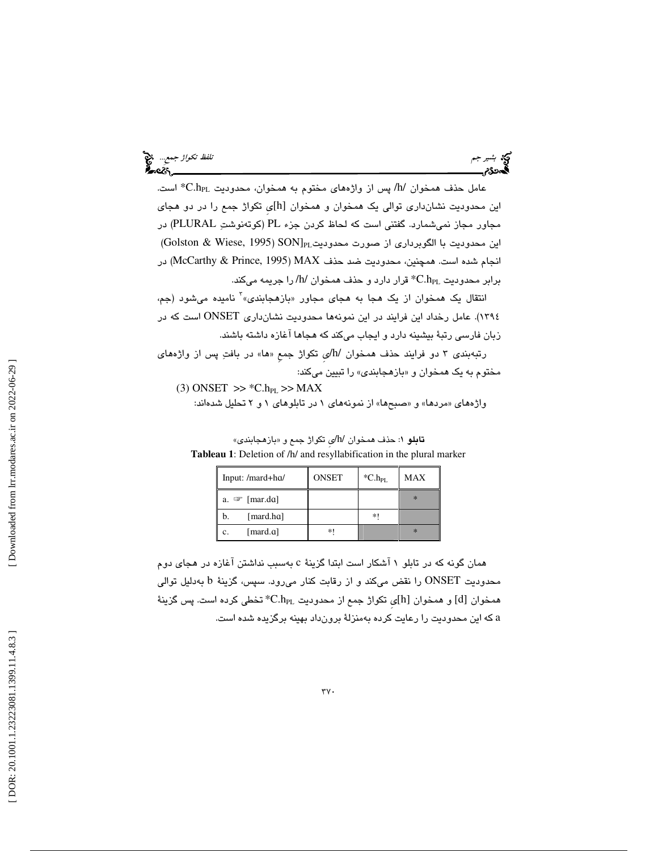بي الله تكوارُ جمع...<br>بشير جم تلفظ تكوارُ جمع...<br>**الص**ورةم <u>المستقيمة الله تكوير</u>

عامل حذف همخوان /h/ پس از واژههای مختوم به همخوان، محدودیت C.h $_{\rm PL}$ \* است. این محدودیت نشانداری توالی یک همخوان و همخوان [h]ی تکواژ جمع را در دو هجای مجاور مجاز نمیشمارد. گفتنی است كه لحاظ كردن جزء PL (كوتەنوشىتِ PLURAL) در<br>این محدودیت با الگوبرداری از صورت محدودیتN SON] (Golston & Wiese, 1995) SON] انجام شده است. همچنين، محدوديت ضد حذف MAX ) 1995 ,Prince & McCarthy ( در برابر محدودیت C.h<sub>PL</sub>\* قرار دارد و حذف همخوان /h/ را جریمه میکند.<br>انتقال یک همخوان از یک هجا به هجای مجاور «بازهجابندی»<sup>۲</sup> نامیده میشود (جم،

1394). عامل رخداد اين فرايند در اين نمونهها محدوديت نشانداري ONSET است كه در زبان فارسی رتبهٔ بیشینه دارد و ایجاب میکند که هجاها آغازه داشته باشند.

رتبهبندی ۳ دو فرایند حذف همخوان /h/ی تکواژ جمع «ها» در بافتِ پس از واژههای مختوم به يک همخوان و «بازهجابن*دی*» را تبيين م*ي*کند:

(3) ONSET  $\gg$  \*C.h<sub>PL</sub>  $\gg$  MAX

واژههای «مردها» و «صبحها» از نمونههای ۱ در تابلوهای ۱ و ۲ تحلیل شدهاند:

| Input: /mard+ha/          | <b>ONSET</b> | $^*C.h_{PI}$ | <b>MAX</b> |
|---------------------------|--------------|--------------|------------|
| a. $\mathcal{F}$ [mar.dq] |              |              | $\ast$     |
| [mard.hq]<br>b.           |              | *1           |            |
| [ $mard.a$ ]<br>c.        | *1           |              | $\ast$     |

تابلو 1: حذف همخوان /h/يِ تكواژ جمع «و بازهجابندي » **Tableau 1**: Deletion of /h/ and resyllabification in the plural marker

همان گونه كه در تابلو ۱ آشكار است ابتدا گزینهٔ c بهسبب نداشتن آغازه در هجای دوم محدوديت ONSET را نقض مىكند و از رقابت كنار مىرود. سپس، گزينهٔ b بەدليل توالى همخوان [d] و همخوان [h]ى تكواژ جمع از محدوديت .C.h $\mathrm{P}_\mathrm{L}$  تخطي كرده است. پس گزينهٔ كه اين محدوديت را رعايت كرده بهمنزلة برونداد بهينه برگزيده شده است. a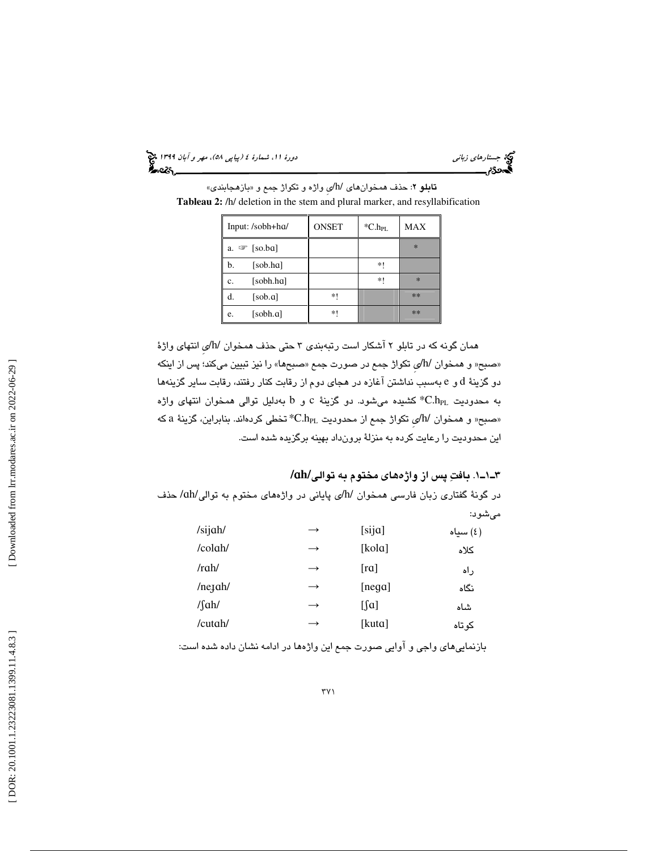(پياپي 58)، مهر و آبان 1399 جستارهاي زباني دورة ،11 شمارة 4

تابلو 2: حذف همخوانهاي /h/ يِ واژه و تكواژ جمع «و بازهجابندي » **Tableau 2:** /h/ deletion in the stem and plural marker, and resyllabification

| Input: /sobh+ha/         | <b>ONSET</b> | $*C.h_{PL}$ | <b>MAX</b> |
|--------------------------|--------------|-------------|------------|
| a. $\mathcal{F}$ [so.ba] |              |             | $\ast$     |
| [sob.ha]<br>b.           |              | *1          |            |
| [sobh.ha]<br>c.          |              | *1          | $\ast$     |
| [sob.a]<br>d.            | *1           |             | **         |
| [sobh.a]<br>e.           | *1           |             | **         |

 همان گونه كه در تابلو 2 آشكار است رتبهبندي 3 حتي حذف همخوان /h/ يِ انتهاي واژ ة «صبح« و همخوان /h/ى تكواژ جمع در صورت جمع «صبحها» را نيز تبيين مىكند؛ پس از اينكه دو گزینهٔ d و e بهسبب نداشتن آغازه در هجای دوم از رقابت کنار رفتند، رقابت سایر گزینهها به محدوديت C.h<sub>PL</sub>\* كشيده مىشود. دو گزينهٔ c و b بهدليل توالى همخوان انتهاى واژه «صبح« و همخوان /h/ي تكواژ جمع از محدوديت C.h<sub>PL</sub>\* تخطي كردهاند. بنابراين، گزينهٔ a كه اين محدوديت را رعايت كرده به منزلة برونداد بهينه برگزيده شده است.

1.ـ1ـ3 بافت پس از واژههاي مختوم به توالي**/h**@**/**

در گونهٔ گفتاری زبان فارسی همخوان /h/ی پایانی در واژههای مختوم به توالی/ah/ حذف ميشود:

| /sijah/       | $\rightarrow$ | [sija]                    | (٤) سياه |
|---------------|---------------|---------------------------|----------|
| $/$ colah $/$ | $\rightarrow$ | [kola]                    | كلاه     |
| /rah/         | $\rightarrow$ | $\lceil \text{ra} \rceil$ | ر اه     |
| $/neq1$ ch/   | $\rightarrow$ | [nega]                    | نگاه     |
| $/$ (ah/      | $\rightarrow$ | [fa]                      | شاه      |
| /cutah/       | $\rightarrow$ | [kuta]                    | كوتاه    |

بازنماييهاي واجي و آوايي صورت جمع اين واژهها در ادامه نشان داده شده است: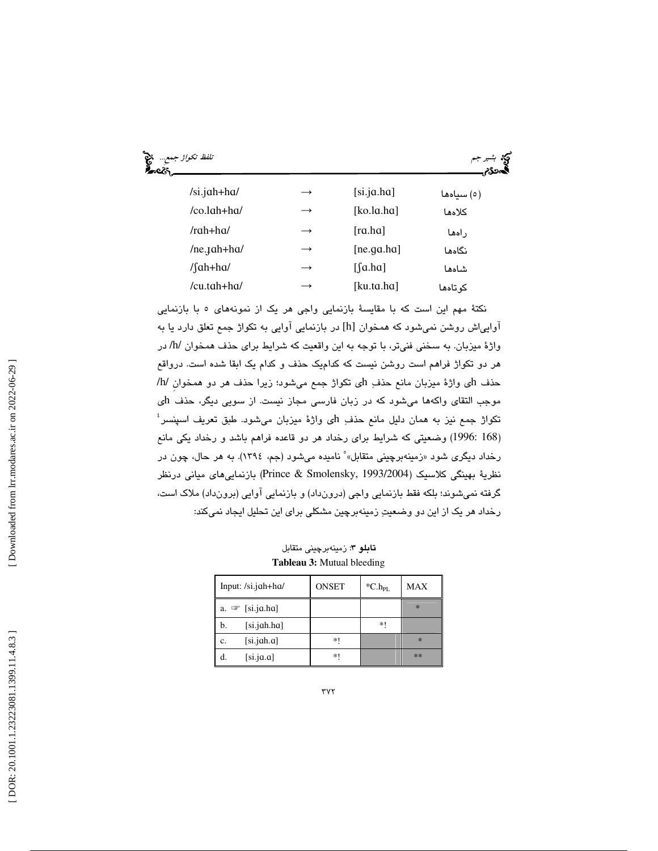| જુ<br>تلفظ تكواژ جمع | ىسىم |
|----------------------|------|
| જીન્ન                |      |

| /si.jah+ha/                   | $\rightarrow$ | [si.ja.ha]                   | (٥) سياەھا |
|-------------------------------|---------------|------------------------------|------------|
| $/co$ . $lah+ha/$             | $\rightarrow$ | [ko.la.ha]                   | كلاهفا     |
| /rah+ha/                      | $\rightarrow$ | $\lceil \text{ra.ha} \rceil$ | رامها      |
| $/ne.$ <sub>I</sub> ah+ha $/$ | $\rightarrow$ | [ne.qa.ha]                   | نگامها     |
| /fah+ha/                      | $\rightarrow$ | [fa.ha]                      | شاهفا      |
| $/cu$ .tah+ha/                | $\rightarrow$ | [ku.ta.ha]                   | كوتاهها    |
|                               |               |                              |            |

نكتهٔ مهم اين است كه با مقايسهٔ بازنمايي واجي هر يک از نمونههاي ٥ با بازنمايي آوايياش روشن نميشود كه همخوان [h [در بازنمايي آوايي به تكواژ جمع تعلق دارد يا به واژ ة ميزبان. به سخني فنيتر، با توجه به اين واقعيت كه شرايط براي حذف همخوان /h/ در هر دو تكواژ فراهم است روشن نيست كه كداميك حذف و كدام يك ابقا شده است. درواقع حذف b راژهٔ میزبان مانع حذفِ b تكواژ جمع میشود؛ زیرا حذف هر دو همخوان /h/ موجب التقاي واكهها ميشود كه در زبان فارسي مجاز نيست. از سويي ديگر، حذف hي تكواژ جمع نيز به همان دليل مانع حذفِ b، واژهٔ ميزبان مىشود. طبق تعريف اسپنسر<sup>،</sup> 168 1996:) وضعيتي كه شرايط براي رخداد هر دو قاعده فراهم باشد و رخداد يكي مانع ) رخداد ديگري شود «زمينهبرچيني متقابل» ْ ناميده ميشود (جم، ١٣٩٤). به هر حال، چون در نظريهٔ بهينگي كلاسيک (Prince & Smolensky, 1993/2004) بازنمايي@اي مياني درنظر گرفته نميشوند؛ بلكه فقط بازنمايي واجي (درونداد) و بازنمايي آوايي (برونداد) ملاك است، رخداد هر يك از اين دو وضعيت زمينهبرچين مشكلي براي اين تحليل ايجاد نميكند:

| Input: /si.jah+ha/          | <b>ONSET</b> | $*C.h_{PL}$ | MAX    |
|-----------------------------|--------------|-------------|--------|
| a. $\mathcal{F}$ [si.ja.ha] |              |             | $*$    |
| [si.jah.hq]<br>b.           |              | *1          |        |
| [si.jah.a]<br>c.            | *1           |             | $\ast$ |
| [si.ja.a]<br>d.             | *1           |             | **     |

تابلو 3: زمينهبرچيني متقابل **Tableau 3:** Mutual bleeding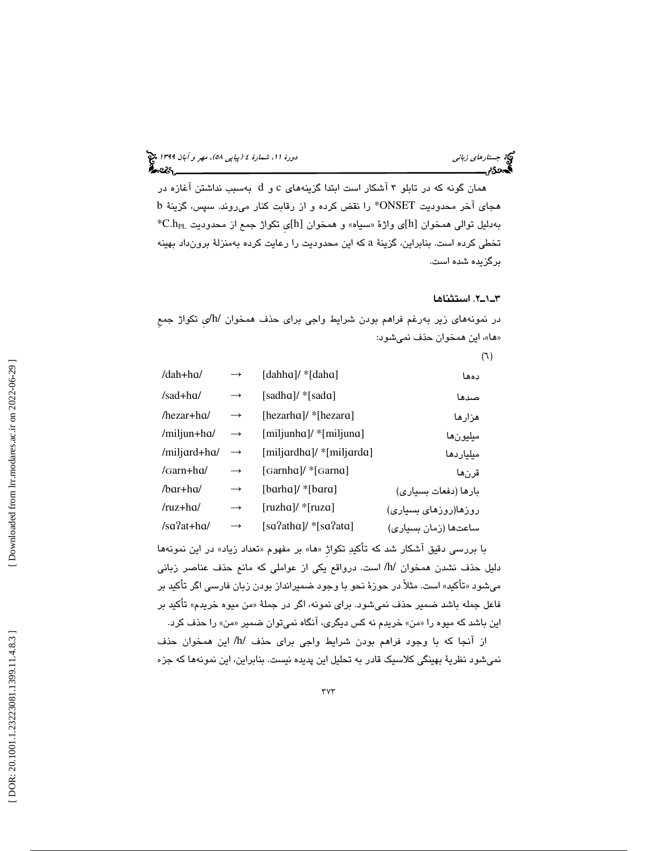همان گونه كه در تابلو ۳ آشكار است ابتدا گزینههای c و d بهسبب نداشتن آغازه در هجاي آخر محدوديت ONSET \*را نقض كرده و از رقابت كنار ميروند. سپس، گزين ة b  $\rm ^*Ch_{PL}$  بهدليل توالي همخوان  $\rm _[h]$ ي واژهٔ «سياه» و همخوان  $\rm _[h]$ ي تكواژ جمع از محدوديت تخطی کرده است. بنابراین، گزینهٔ a که این محدودیت را رعایت کرده بهمنزلهٔ برونداد بهینه برگزيده شده است.

#### . 2ـ1ـ3 استثناها

 در نمونههاي زير بهرغم فراهم بودن شرايط واجي براي حذف همخوان /h/يِ تكواژ جمعِ «ها»، اين همخوان حذف نميشود:

 $(7)$ 

| $/dah+ha/$      | $\rightarrow$     | [dahha]/ *[daha]                                       | دەھا                 |
|-----------------|-------------------|--------------------------------------------------------|----------------------|
| /sad+ha/        | $\rightarrow$     | [sadhɑ]/ *[sadɑ]                                       | صدها                 |
| /hezar+ha/      | $\rightarrow$     | [hezarha]/ *[hezara]                                   | هزارها               |
| /miljun+ha/     | $\rightarrow$     | $[\text{miljunha}]/\times[\text{miljuna}]$             | ميليونها             |
| /miljard+ha/    | $\longrightarrow$ | [miljardha]/ *[miljarda]                               | مطيار دها            |
| $/$ Garn+ha $/$ | $\rightarrow$     | $\lceil \text{Garnha} \rceil / \sqrt[*]{\text{Garna}}$ | قرنها                |
| /bar+ha/        | $\rightarrow$     | [barha]/ *[bara]                                       | بارها (دفعات بسباری) |
| $/ruz+ha/$      | $\rightarrow$     | $[\text{ruzha}]/\text{*}[\text{ruza}]$                 | روزها(روزهای بسیاری) |
| $/sa2at+ha/$    | $\rightarrow$     | $[sa2athe]/*[sa2a]$                                    | ساعتها (زمان بسیاری) |

با بررسی دقیق اشکار شد که تأکیدِ تکواژ «ها» بر مفهوم «تعداد زیاد» در این نمونهها دليل حذف نشدن همخوان /h/ است. درواقع يكي از عواملي كه مانع حذف عناصر زباني میشود «تاكيد» است. مثلاً در حوزهٔ نحو با وجود ضمیرانداز بودن زبان فارسی اگر تاكيد بر فاعل جمله باشد ضمير حذف نميشود. براي نمونه، اگر در جملهٔ «من ميوه خريدم» تأكيد بر این باشد که میوه را «من» خریدم نه کس دیگری، انگاه نمیتوان ضمیر «من» را حذف کرد.

از آنجا كه با وجود فراهم بودن شرايط واجي براي حذف /h/ اين همخوان حذف نمي شود نظرية بهينگي كلاسيك قادر به تحليل اين پديده نيست. بنابراين، اين نمونهها كه جزء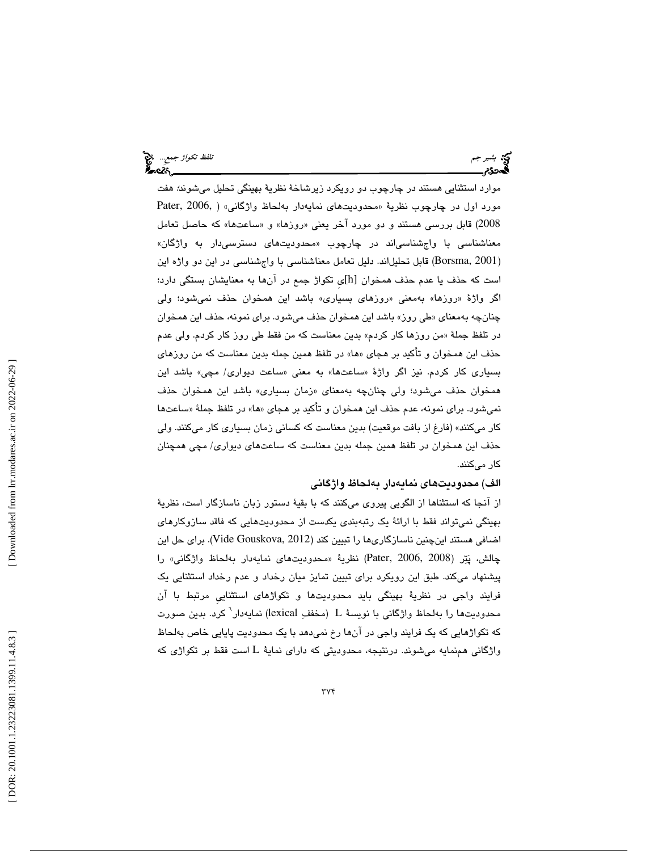بي بشير جم تلفظ تكو*اژ جمع...*. بي تلفظ تكو*اژ جمع...*<br>بي تلفظ تكوار جمع السياسي المستقدم المستقدم السياسي المستقدم المستقدم المستقدم المستقدم المستقدم المستقدم المس<br>**الجمهوري المستقدم المستقدم المستقدم المستقدم المستقدم** 

موارد استثنايي هستند در چارچوب دو رويكرد زيرشاخهٔ نظريهٔ بهينگي تحليل ميشوند؛ هفت مورد اول در چارچوب نظريهٔ «محدوديتهای نمايەدار بەلحاظ واژگانی» ( Pater, 2006, 2008) قابل بررسی هستند و دو مورد آخر یعنی «روزها» و «ساعتها» که حاصل تعامل معناشناسی با واجشناسیاند در چارچوب «محدودیتهای دسترسیدار به واژگان» (Borsma, 2001) قابل تحليلاند. دليل تعامل معناشناسي با واجشناسي در اين دو واژه اين است كه حذف يا عدم حذف همخوان [h[يِ تكواژ جمع در آنها به معنايشان بستگي دارد؛ اگر واژهٔ «روزها» بهمعنی «روزهای بسیاری» باشد این همخوان حذف نمیشود؛ ولی چنانچه بهمعنای «طی روز» باشد این همخوان حذف میشود. برای نمونه، حذف این همخوان در تلفظ جملهٔ «من روزها كار كردم» بدين معناست كه من فقط طي روز كار كردم. ولي عدم حذف اين همخوان و تأكيد بر هجاي «ها» در تلفظ همين جمله بدين معناست كه من روزها*ي* بسيار*ی* کار کردم. نيز اگر واژهٔ «ساعتها» به معنی «ساعت ديوار*ی) م*چی» باشد اين همخوان حذف میشود؛ ولی چنانچه بهمعنای «زمان بسیاری» باشد این همخوان حذف نمیشود. برای نمونه، عدم حذف این همخوان و تأکید بر هجای «ها» در تلفظ جملهٔ «ساعتها كار ميكنند» (فارغ از بافت موقعيت) بدين معناست كه كساني زمان بسياري كار ميكنند. ولي حذف اين همخوان در تلفظ همين جمله بدين معناست كه ساعتهاي ديواري/ مچي همچنان كار مىكنند.

#### الف) محدوديتهاي نمايهدار بهلحاظ واژگاني

از آنجا كه استثناها از الگويي پيروي ميكنند كه با بقية دستور زبان ناسازگار است، نظرية بهينگي نميتواند فقط با ارائ ة يك رتبهبندي يكدست از محدوديتهايي كه فاقد سازوكارهاي اضافي هستند اينچنين ناسازگاريها را تبيين كند (Vide Gouskova, 2012). براي حل اين چالش، پَتِر (Pater, 2006, 2008) نظريهٔ «محدوديتهای نمايهدار بهلحاظ واژگانی» را پيشنهاد ميكند. طبق اين رويكرد براي تبيين تمايز ميان رخداد و عدم رخداد استثنايي يك فرايند واجي در نظرية بهينگي بايد محدوديتها و تكواژهاي استثناييِ مرتبط با آن محدوديتها را بهلحاظ واژگانی با نويسهٔ L (مخففِ lexical) نمايهدار<sup>٦</sup> كرد. بدين صورت كه تكواژهايي كه يك فرايند واجي در آنها رخ نميدهد با يك محدوديت پايايي خاص بهلحاظ واژگاني همنمايه ميشوند. درنتيجه، محدوديتي كه داراي نماية L است فقط بر تكواژي كه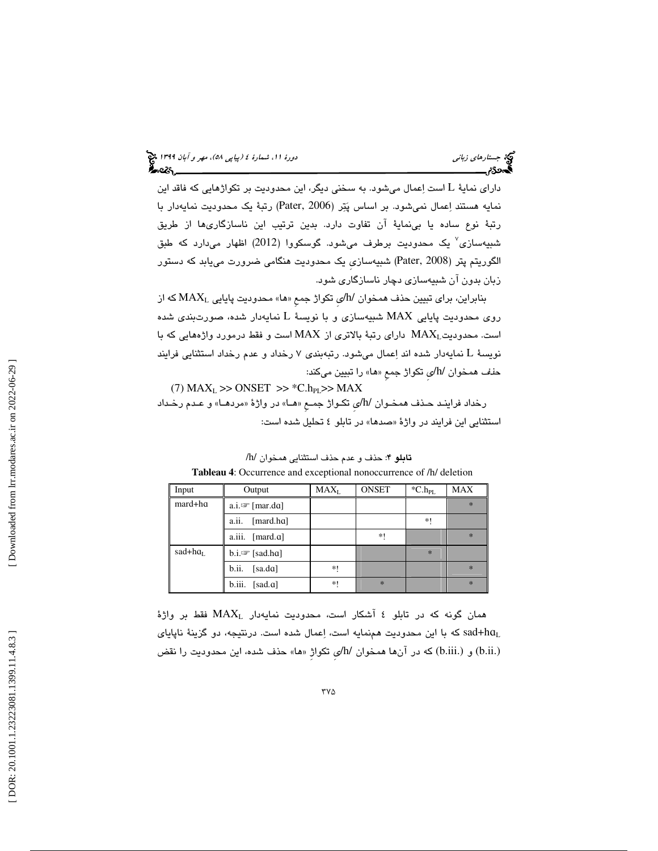دارای نمایهٔ L است اِعمال میشود. به سخنی دیگر، این محدودیت بر تکواژهایی که فاقد این نمايه هستند اعمال نميشود. بر اساس پتر (2006 ,Pater (رتبة يك محدوديت نمايهدار با رتبهٔ نوع ساده يا بي نمايهٔ آن تفاوت دارد. بدين ترتيب اين ناسازگاريها از طريق شبيهسازي 7 يك محدوديت برطرف ميشود. گوسكووا (2012) اظهار ميدارد كه طبق الگوريتم پتر (2008 ,Pater (شبيهسازيِ يك محدوديت هنگامي ضرورت مييابد كه دستور زبان بدون آن شبيهسازي دچار ناسازگاري شود.

 ${\rm MAX_{L}}$  بنابراین، برای تبیین حذف همخوان /h/ي تکواژ جمع «ها» محدودیت پایایی  ${\rm MAX_{L}}$  که از روي محدوديت پايايي MAX شبيهسازي و با نويسة L نمايهدار شده، صورتبندي شده است. محدودیت $\rm MAX$  دارای رتبهٔ بالاتری از  $\rm MAX$  است و فقط درمورد واژههایی که با نويسة L نمايهدار شده اند اعمال ميشود. رتبهبندي 7 رخداد و عدم رخداد استثنايي فرايند ح*ذف* همخوان /h/ي تكواژ جمع «ها» را تبيين ميكند:

(7)  $MAX_L \gg ONSET \gg C.h_{PL} \gg MAX$ 

رخداد فراينـد حـذف همخـوان /h/ي تكـواژ جمـع «هـا» در واژهٔ «مردهـا» و عـدم رخـداد استثنایی این فرایند در واژهٔ «صدها» در تابلو ٤ تحلیل شده است:

| Input     | Output                      | $MAX_{L}$ | <b>ONSET</b> | $^{\ast}$ C.h <sub>PL</sub> | <b>MAX</b> |
|-----------|-----------------------------|-----------|--------------|-----------------------------|------------|
| mard+ha   | a.i. $\mathcal{F}$ [mar.dq] |           |              |                             | $\ast$     |
|           | a.ii.<br>[mard.hq]          |           |              | *1                          |            |
|           | a.iii. [mard.a]             |           | *1           |                             | $*$        |
| $sad+haL$ | $b.i. \equiv$ [sad.ha]      |           |              | $*$                         |            |
|           | b.ii.<br>[sa.da]            | *1        |              |                             | $\ast$     |
|           | b.iii. [sad.a]              | *1        | $*$          |                             | $*$        |

تابلو 4 : حذف و عدم حذف استثنايي همخوا ن /h/  **Tableau 4**: Occurrence and exceptional nonoccurrence of /h/ deletion

همان گونه كه در تابلو ٤ آشكار است، محدوديت نمايهدار  $\text{MAX}_{\text{L}}$  فقط بر واژهً sad+ha<sub>L</sub> كه با اين محدوديت همنمايه است، اِعمال شده است. درنتيجه، دو گزينهٔ ناپاياي (.b.ii) و (.b.iii) كه در آنها همخوان /h/ي تكواژ «ها» حذف شده، اين محدوديت را نقض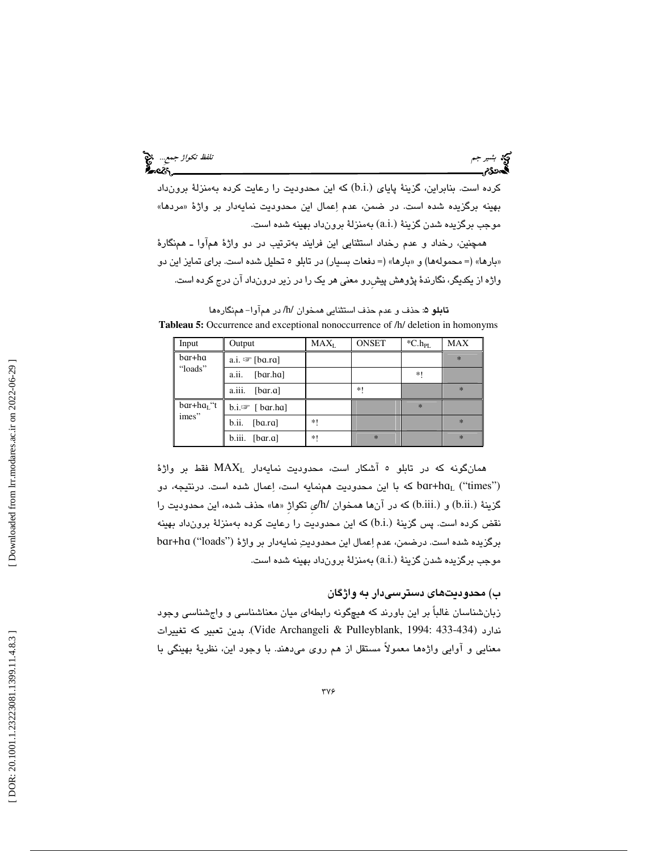# بشير جم تلفظ تكواژ جمع...<br>بشير جمع المستخدم المستخدم المستخدم المستخدم المستخدم المستخدم المستخدم المستخدم المستخدم المستخدم المستخدم ال<br>المستخدم المستخدم المستخدم المستخدم المستخدم المستخدم المستخدم المستخدم المستخدم الم

كرده است. بنابراين، گزينهٔ پاياي (.b.i) كه اين محدوديت را رعايت كرده بهمنزلهٔ برونداد بهينه برگزيده شده است. در ضمن، عدم اِعمال اين محدوديت نمايهدار بر واژهٔ «مردها» موجب برگزيده شدن گزينة (.i.a (به منزلة برونداد بهينه شده است.

همچنين، رخداد و عدم رخداد استثنايي اين فرايند بهترتيب در دو واژة همآوا ـ همنگار ة «بارها» (= محمولهها) و «بارها» (= دفعات بسيار) در تابلو ٥ تحليل شده است. براي تمايز اين دو واژه از يكديگر، نگارندهٔ پژوهش پيش٫رو معنی هر يک را در زير درون،داد آن درج كرده است.

| Input        | Output                            | $MAX_{I}$ | <b>ONSET</b> | $*C.h_{PL}$ | MAX    |
|--------------|-----------------------------------|-----------|--------------|-------------|--------|
| bar+ha       | a.i. $\mathcal{F}$ [ba.ra]        |           |              |             | $*$    |
| "loads"      | a.ii.<br>[bar.ha]                 |           |              | *!          |        |
|              | a.iii.<br>[bar.a]                 |           | *1           |             | $\ast$ |
| $bar+haL$ "t | $b.i. \n\mathcal{D}$ [ $bar.ha$ ] |           |              | $*$         |        |
| imes"        | b.ii.<br>[ba, ra]                 | *1        |              |             | $\ast$ |
|              | b.iii. [bar.a]                    | *١        | $\ast$       |             | $\ast$ |

5: تابلو حذف و عدم حذف استثنايي همخوان /h/ در همآوا - همنگاره ها **Tableau 5:** Occurrence and exceptional nonoccurrence of /h/ deletion in homonyms

همانگونه كه در تابلو ٥ آشكار است، محدوديت نمايهدار  $\text{MAX}_{\text{L}}$  فقط بر واژهٔ كه با اين محدوديت همنمايه است، اعمال شده است. درنتيجه، دو b @r+h @ <sup>L</sup> ("times") گزينهٔ (.b.ii) و (.b.iii) كه در آنها همخوان /h/ي تكواژ «ها» حذف شده، اين محدوديت را نقض کرده است. پس گزينهٔ (.b.i) که اين محدوديت را رعايت کرده بهمنزلهٔ برونداد بهينه<br>برگزيده شده است. درضمن، عدم اِعمال اين محدوديتِ نمايهدار بر واژهٔ ("bar+ha ("loads موجب برگزيده شدن گزينة (.i.a (به منزلة برونداد بهينه شده است.

## ب) محدوديتهاي دسترسيدار به واژگان

زبانشناسان غالباً بر اين باورند كه هيچگونه رابطهاي ميان معناشناسي و واجشناسي وجود ندارد (433-434 1994: ,Pulleyblank & Archangeli Vide(. بدين تعبير كه تغييرات معنايي و آوايي واژهها معمولاً مستقل از هم روي مي $\iota$ هند. با وجود اين، نظريهٔ بهينگي با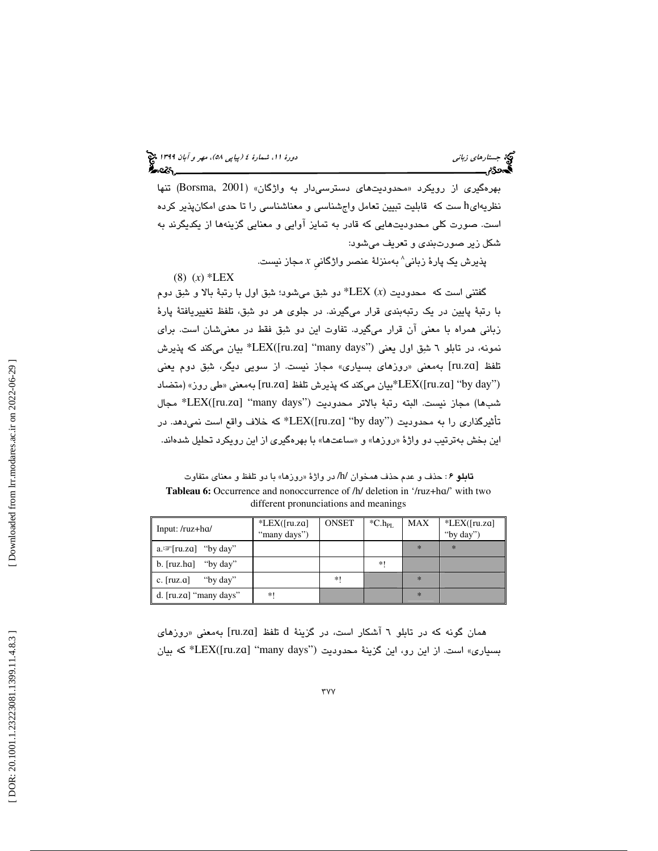بهرهگيري از رويكرد «محدوديتهاي دسترسيدار به واژگان» (Borsma, 2001) تنها نظريهايh ست كه قابليت تبيين تعامل واجشناسي و معناشناسي را تا حدي امكانپذير كرده است. صورت كلي محدوديتهايي كه قادر به تمايز آوايي و معنايي گزينهها از يكديگرند به شكل زير صورتبندي و تعريف ميشود:

پذيرش يك پارة زباني 8 مجاز نيست. به منزلة عنصر واژگانيِ *x*

(8) ( *x* ) \*LEX

گفتنی است كه محدودیت (LEX (*x* دو شِق میشود؛ شقِ اول با رتبهٔ بالا و شقِ دوم با رتبة پايين در يك رتبهبندي قرار ميگيرند. در جلوي هر دو شق، تلفظ تغييريافتة پارة زباني همراه با معني آن قرار ميگيرد. تفاوت اين دو شق فقط در معنيشان است. براي نمونه، در تابلو ٦ شيق اول يعني ("thettermany days") بيان ميكند كه پذيرش تلفظ [ru.za] بهمعنی «روزهای بسیاری» مجاز نیست. از سویی دیگر، شوق دوم یعنی t.EX([ru.za] "by day") به معني «طي روز» (متضاد [ru.za] به معني «طي روز» (متضاد شبها) مجاز نيست. البته رتبة بالاتر محدوديت ("LEX([ru.za] "many days" مجال تأثيرگذاری را به محدوديت ("by day" ("by day" كه خلاف واقع است نميدهد. در اين بخش بهترتيب دو واژهٔ «روزها» و «ساعتها» با بهرهگيري از اين رويكرد تحليل شدهاند.

تابلو : 6 حذف و عدم حذف همخوان /h/ در واژ « ة روزها » با دو تلفظ و معناي متفاوت Tableau 6: Occurrence and nonoccurrence of /h/ deletion in '/ruz+ha/' with two different pronunciations and meanings

| Input: /ruz+ha/               | $*LEX([ru.za]$<br>"many days") | ONSET | $^{\ast}C.h_{\text{PI}}$ | MAX    | $*LEX$ ([ru.za]<br>"by day") |
|-------------------------------|--------------------------------|-------|--------------------------|--------|------------------------------|
| $a \equiv [ru.za]$ "by day"   |                                |       |                          | $\ast$ | $\ast$                       |
| b. $[\text{ruz.ha}]$ "by day" |                                |       | *1                       |        |                              |
| c. [ruz.a]<br>"by day"        |                                | $*!$  |                          | $\ast$ |                              |
| d. [ru.zq] "many days"        | $*!$                           |       |                          | $\ast$ |                              |

همان گونه كه در تابلو ٦ آشكار است، در گزينهٔ d تلفظ [ru.za] بهمعنی «روزهای بسياري» است. از اين رو، اين گزينهٔ محدوديت (''LEX([ru.za] "many days'' كه بيان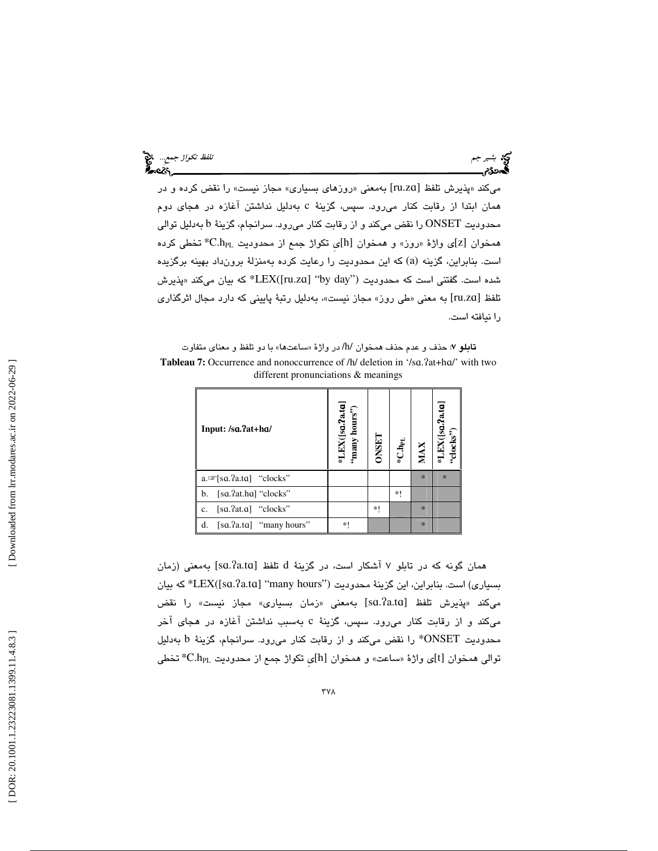بشير جم تلفظ تكواژ جمع...ِ

میكند «پذيرش تلفظ [ru.za] بەمعنى «روزهای بسياری» مجاز نيست» را نقض كرده و در همان ابتدا از رقابت كنار ميرود. سپس، گزينة c بهدليل نداشتن آغازه در هجاي دوم محدوديت ONSET را نقض مىكند و از رقابت كنار مىرود. سرانجام، گزينهٔ b بەدليل توالى همخوان [z]ى واژهٔ «روز» و همخوان [h]ى تكواژ جمع از محدوديت C.h<sub>PL</sub>\* تخطى كرده است. بنابراين، گزينه (a) كه اين محدوديت را رعايت كرده بهمنزلهٔ برونداد بهينه برگزيده شده است. گفتني است كه محدوديت ("by day" ("by day" كه بيان ميكند «پذيرش تلفظ [ru.za] به معنی «طی روز» مجاز نیست»، بهدلیل رتبهٔ پایینی که دارد مجال اثرگذاری را نيافته است.

تابلو 7: حذف و عدم حذف همخوان /h/ در واژ « ة »ها ساعت با دو تلفظ و معناي متفاوت **Tableau 7:** Occurrence and nonoccurrence of /h/ deletion in '/sq.?at+hq/' with two different pronunciations & meanings

| Input: /sa.?at+ha/             | *LEX([sa.?a.ta]<br>"many hours") | <b>ONSET</b> | $\rm ^{*C.h_{PL}}$ | $\mathbf{X} \mathbf{V}$ | *LEX([sa.?a.ta]<br>"clocks") |
|--------------------------------|----------------------------------|--------------|--------------------|-------------------------|------------------------------|
| $a.\equiv$ [sq.?a.tq] "clocks" |                                  |              |                    | $\ast$                  | $*$                          |
| [sq.?at.hq] "clocks"<br>b.     |                                  |              | *!                 |                         |                              |
| c. $[sa.2at.a]$ "clocks"       |                                  | $*!$         |                    | $\ast$                  |                              |
| [sq. ?a.tq] "many hours"<br>d. | *1                               |              |                    | $\ast$                  |                              |

همان گونه كه در تابلو ۷ آشكار است، در گزينهٔ d تلفظ [sa.ʔa.tɑ] بهمعنی (زمان بسياري) است. بنابراين، اين گزينهٔ محدوديت ("LEX([sa.ʔa.tɑ] "many hours" كه بيان میکند «پذیرش تلفظ [sɑ.ʔa.tɑ] بەمعنی «زمان بسیاری» مجاز نیست» را نقض ميكند و از رقابت كنار ميرود. سپس، گزينة c بهسبب نداشتن آغازه در هجاي آخر محدوديت ONSET\* را نقض ميكند و از رقابت كنار مىرود. سرانجام، گزينهٔ b بەدليل  $\mathrm{C.h}_\mathrm{PL}$  تخطی (c[t]ی واژهٔ «ساعت» و همخوان [h]ی تکواژ جمع از محدودیت  $\mathrm{C.h}_\mathrm{PL}$ \* تخطی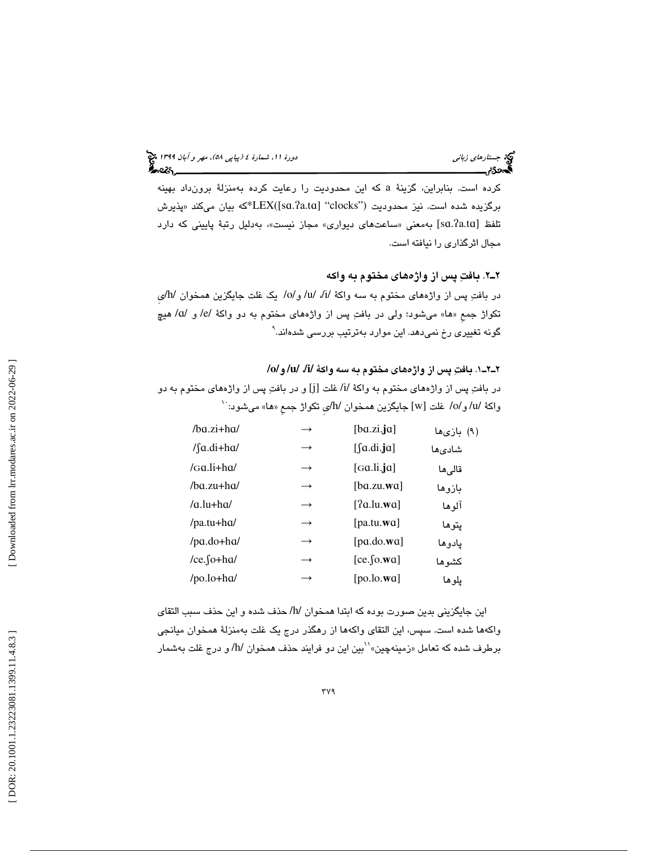كرده است. بنابراين، گزينهٔ a كه اين محدوديت را رعايت كرده بهمنزلهٔ برونداد بهينه برگزيده شده است. نيز محدوديت ("LEX([sa.?a.ta]\*كه بيان ميكند «پذيرش تلفظ [sɑ.ʔa.tɑ] بەمعنی «ساعتهای دیواری» مجاز نیست»، بەدلیل رتبهٔ پایینی که دارد مجال اثرگذاري را نيافته است.

### . 2ـ2 بافت پس از واژههاي مختوم به واكه

در بافت پس از واژههاي مختوم به سه واكة /i،/ /u/ و /o/ يك غلت جايگزين همخوان /h/يِ تكواژ جمع «ها» ميشود؛ ولي در بافتِ پس از واژههاي مختوم به دو واكهٔ /e/ و /a/ هيچ گونه تغییری رخ نمیدهد. این موارد بهترتیب بررس*ی* شدهاند.<sup>۹</sup>

# . 1ـ2ـ2 بافت پس از واژههاي مختوم به سه واكة **/i**،**/ /u/** و **/o/**

در بافت پس از واژههاي مختوم به واكة /i/ غلت [j [و در بافت پس از واژههاي مختوم به دو واكهٔ /u/ و/o/ غلت [w] جايگزين همخوان /h/ي تكواژ جمع «ها» ميشود: ``

| $/$ ha zi+ha/              | $\rightarrow$ | [ba.zi.ja]       | (۹) بازی ها |
|----------------------------|---------------|------------------|-------------|
| $/[a.di+ha]$               | $\rightarrow$ | $[\int a.di.ja]$ | شادىھا      |
| $/$ Ga.li+ha $/$           | $\rightarrow$ | [Ga.li.ja]       | قالے ھا     |
| $/$ ha.zu+ha/              | $\rightarrow$ | [ba.zu.wa]       | بازوها      |
| /a.lu+ha/                  | $\rightarrow$ | [2a.lu.wa]       | آلوها       |
| /pa.tu+ha/                 | $\rightarrow$ | [pa.tu.wa]       | يتوها       |
| / $pa.do+ha/$              | $\rightarrow$ | [pa.doc.wa]      | يادوها      |
| $/ce.fo+ha/$               | $\rightarrow$ | [ce.[o.wa]       | کشہ ها      |
| $\prime$ po.lo+ha $\prime$ | $\rightarrow$ | $[po-lo.wa]$     | پلوها       |
|                            |               |                  |             |

اين جايگزيني بدين صورت بوده كه ابتدا همخوان /h/ حذف شده و اين حذف سبب التقاي واکهها شده است. سپس، اين التقای واکهها از رهگذر درج يک غلت بهمنزلهٔ همخوان ميانجی<br>برطرف شده که تعامل «زمينهچين»'<sup>(</sup>بين اين دو فرايند حذف همخوان /h/ و درج غلت بهشمار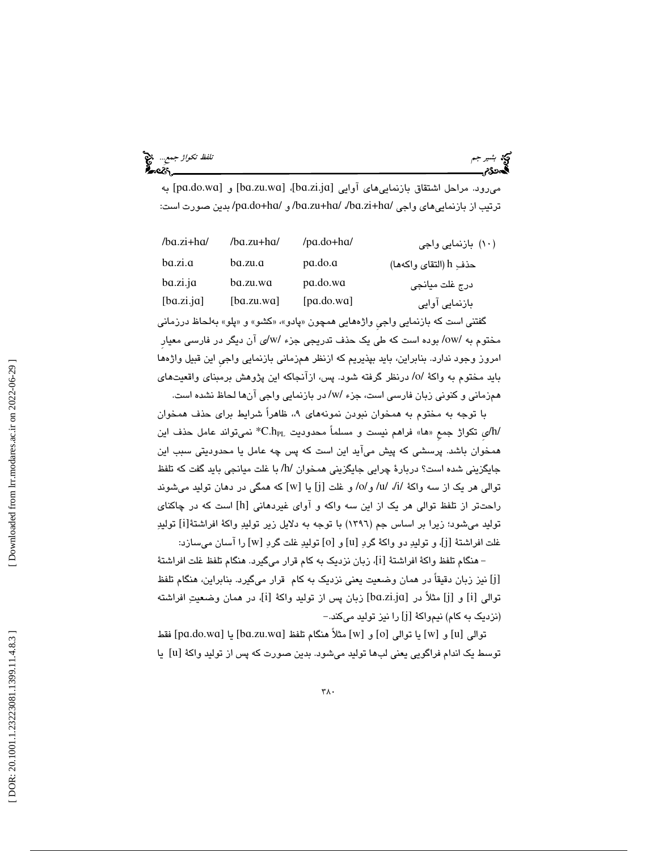بي بشير جم تلفظ تكو*اژ جمع...*<br>بي تلفظ تكوار جمع السياسي المستقل المستقل المستقل المستقل المستقل المستقل المستقل المستقل المستقل المستقل المس<br>**الجمهوري المستقل المستقل المستقل المستقل المستقل المستقل المستقل المستقل المست** 

مىرود. مراحل اشتقاق بازنمايى $\mathfrak{a}$ و [ba.zu.wa] و [pa.do.wa] به ترتيب از بازنمايى۱ماى واجى /bɑ.zu+hɑ/ ،/bɑ.zi+ha/ و /pɑ.do+ha/ بدين صورت است:

| $/ba.zi+ha/$ | /ba.zu+ha/ | $/pa.do+ha/$ | (۱۰) بازنمایی واجی    |
|--------------|------------|--------------|-----------------------|
| ba.zi.a      | ba.zu.a    | pa.do.a      | حذف h (التقاى واكهها) |
| ba.zi.ja     | ba.zu.wa   | pa.do.wa     | درج غلت ميانجي        |
| [ba.zi.ja]   | [ba.zu.wa] | [pa.do.wa]   | بازنمایی آوایی        |

گفتني است كه بازنمايي واجي واژههايي همچون «پادو»، «كشو» و «پلو» بهلحاظ درزماني مختوم به /ow/ بوده است كه طي يك حذف تدريجي جزء /w/ي آن ديگر در فارسي معيارِ امروز وجود ندارد. بنابراين، بايد بپذيريم كه ازنظر همزماني بازنمايي واجيِ اين قبيل واژهها بايد مختوم به واكهٔ /o/ درنظر گرفته شود. پس، ازآنجاكه اين پژوهش برمبناي واقعيتهاي همزماني و كنوني زبان فارسي است، جزء /w/ در بازنمايي واجي آنها لحاظ نشده است.

با توجه به مختوم به همخوان نبودن نمونههای ۹،، ظاهراً شرایط برای حذف همخوان اي تكواژ جمعِ «ها» فراهم نيست و مسلماً محدوديت C.h<sub>PL</sub>\* نميتواند عامل حذف اين $\Delta h$ همخوان باشد. پرسشي كه پيش ميآيد اين است كه پس چه عامل يا محدوديتي سبب اين جايگزيني شده است؟ دربارة چرايي جايگزيني همخوان /h/ با غلت ميانجي بايد گفت كه تلفظ توالي هر يک از سه واکهٔ /u/ /i،/ و/o/ و غلت [j] يا [w] که همگي در دهان توليد ميشوند راحتتر از تلفظ توالي هر يك از اين سه واكه و آواي غيردهاني [h [است كه در چاكناي توليد ميشود؛ زيرا بر اساس جم (1396) با توجه به دلايل زير توليد واكة افراشتة[i [توليد غلت افراشتة [j[، و توليد دو واكة گرد] u [و [o [توليد غلت گرد] w [را آسان ميسازد:

– هنگام تلفظ واكهٔ افراشتهٔ [i]، زبان نزدیک به کام قرار میگیرد. هنگام تلفظ غلت افراشتهٔ [j [نيز زبان دقيقاً در همان وضعيت يعني نزديك به كام قرار ميگيرد. بنابراين، هنگام تلفظ توالى [i] و [j] مثلاً در [bɑ.zi.ja] زبان پس از توليد واكهٔ [i]، در همان وضعيتِ افراشته (نزديك به كام) نيمواكة [j] را نيز توليد مي كند.-

توالى [u] و [w] يا توالي [o] و [w] مثلاً هنگام تلفظ [bɑ.zu.wɑ] يا [pɑ.do.wɑ] فقط توسط يك اندام فراگويي يعني لبها توليد ميشود. بدين صورت كه پس از توليد واكة [u [يا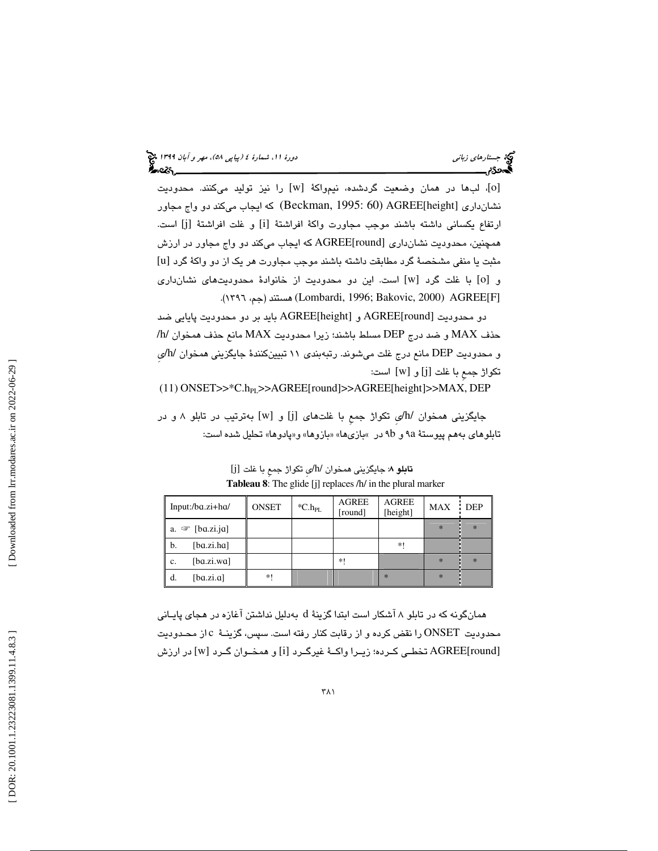[o[، لبها در همان وضعيت گردشده ، نيم واكة [w [را نيز توليد مي كنند. محدوديت نشانداری [Beckman, 1995: 60 )AGREE[height] که ایجاب میکند دو واج مجاور ارتفاع يكساني داشته باشند موجب مجاورت واكة افراشتة [i [و غلت افراشتة [j [است. همچنين، محدوديت نشانداري [round[AGREE كه ايجاب ميكند دو واج مجاور در ارزش مثبت يا منفي مشخصة گرد مطابقت داشته باشند موجب مجاورت هر يك از دو واكة گرد [u[ و [o [با غلت گرد [w [است. اين دو محدوديت از خانوادة محدوديتهاي نشانداري .( 1396 ،جم (هستند) Lombardi, 1996; Bakovic, 2000) AGREE[F]

جبتا ر*هاي زباني*<br>دورة مستارهاي زباني

دو محدوديت [round[AGREE و [height[AGREE بايد بر دو محدوديت پايايي ضد حذف MAX و ضد درج DEP مسلط باشند؛ زيرا محدوديت MAX مانع حذف همخوان /h/ و محدوديت DEP مانع درج غلت ميشوند. رتبهبندي 11 تبيينكنندة جايگزيني همخوان /h/يِ تكواژ جمع با غلت [j] و [w] است:

(11) ONSET>>\*C.h<sub>PL</sub>>>AGREE[round]>>AGREE[height]>>MAX, DEP

جايگزيني همخوان /h/يِ تكواژ جمعِ با غلت هاي [j [و [w [به ترتيب در تابلو 8 و در تابلوهای بههم پیوستهٔ ۹a و ۹b در »بازیها» «بازوها» و«پادوها» تحلیل شده است:

| Input:/ba.zi+ha/            | <b>ONSET</b> | $*C.h_{PL}$ | <b>AGREE</b><br>[round] | <b>AGREE</b><br>[height] | MAX    | $\therefore$ DEP |
|-----------------------------|--------------|-------------|-------------------------|--------------------------|--------|------------------|
| a. $\mathcal{F}$ [ba.zi.ja] |              |             |                         |                          | $\ast$ | $\ast$           |
| [ba.zi.ha]<br>b.            |              |             |                         | $*1$                     |        |                  |
| [ba.zi.wa]<br>c.            |              |             | *1                      |                          | $*$    | $*$              |
| [ba.zi.a]<br>d.             | *1           |             |                         | $*$                      | $*$    |                  |

تابلو 8: جايگزيني همخوان /h/يِ تكواژ جمعِ با غلت [j[ **Tableau 8**: The glide [j] replaces /h/ in the plural marker

همانگونه كه در تابلو 8 آشكار است ابتدا گزين ة d بهدليل نداشتن آغازه در هجاي پايـاني محدوديت ONSET را نقض كرده و از رقابت كنار رفته است. سپس، گزينـ ة c از محـدوديت [round[AGREE تخطــي كــرده؛ زيــرا واكــ ة غيرگــرد [i [و همخــوان گــرد [w [در ارزش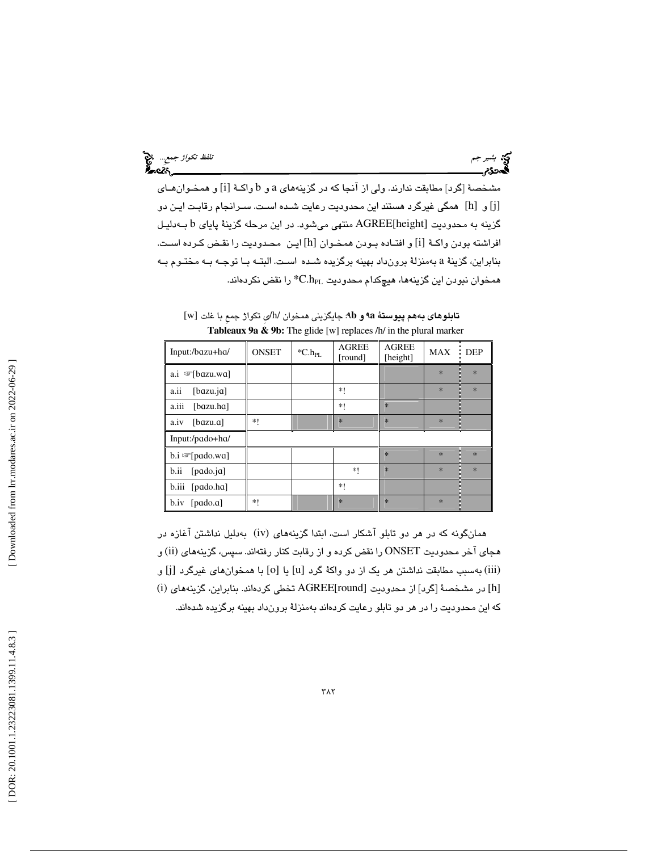# بي الله تكوارُ جمع... الله تكوارُ جمع... الله تكوارُ جمع... الله تكوارُ جمع... الله تكويرًا جمع...<br>الصحيح:<br>الصحيح: الصحيح: الله تك الله تك الله تكويرًا على الله تكويرًا على الله تكويرًا على الله تكويرًا على الله تكوير

مشخصهٔ [گرد] مطابقت ندارند. ولی از آنجا که در گزینههای a و b واکـهٔ [i] و همخـوان۵ـای [j [و [h [همگي غيرگرد هستند اين محدوديت رعايت شـده اسـت. سـرانجام رقابـت ايـن دو گزينه به محدوديت [height] AGREE منتهي ميشود. در اين مرحله گزينهٔ پاياي b بـهدليـل افراشته بودن واكـ ة [i [و افتـاده بـودن همخـوان [h [ايـن محـد وديت را نقـض كـرده اسـت. بنابراین، گزینهٔ a بهمنزلهٔ برونداد بهینه برگزیده شـده اسـت. البتـه بـا توجـه بـه مختـوم بـه همخوان نبودن اين گزينهها، هيچكدام محدوديت .C.h $\epsilon_{\rm L}$ \* را نقض نكردهاند.

| Input:/bazu+ha/                     | <b>ONSET</b> | $*C.h_{PL}$ | <b>AGREE</b><br>[round] | <b>AGREE</b><br>[height] | MAX    | <b>DEP</b> |
|-------------------------------------|--------------|-------------|-------------------------|--------------------------|--------|------------|
| a.i $\mathcal{F}[\text{bazu.wa}]$   |              |             |                         |                          | $\ast$ | $*$        |
| a.ii<br>[bazu.ja]                   |              |             | *1                      |                          | $\ast$ | $*$        |
| a.iii<br>[bazu.ha]                  |              |             | *!                      | $*$                      |        |            |
| a.iv<br>[bazu.a]                    | $*!$         |             | $\ast$                  | $*$                      | $\ast$ |            |
| Input:/pado+ha/                     |              |             |                         |                          |        |            |
| $b.i \in [pado.wa]$                 |              |             |                         | $*$                      | $\ast$ | $\ast$     |
| b.ii<br>[ <i>p</i> ado. <i>j</i> a] |              |             | $*!$                    | $*$                      | $\ast$ | $\ast$     |
| b.iii [pado.ha]                     |              |             | *1                      |                          |        |            |
| [ <i>p</i> ado. <i>a</i> ]<br>b.iv  | *!           |             | $\ast$                  | $*$                      | $\ast$ |            |

| $\lceil w \rceil$ قابلوهای بههم پیوستهٔ ۹۵ و 9b؛ جایگزینی همخوان /h/ی تکواژ جمع با غلت |
|----------------------------------------------------------------------------------------|
| <b>Tableaux 9a &amp; 9b:</b> The glide [w] replaces $/h/$ in the plural marker         |

همانگونه كه در هر دو تابلو آشكار است، ابتدا گزينه هاي (iv (به دليل نداشتن آغازه در هجاي آخر محدوديت ONSET را نقض كرده و از رقابت كنار رفتهاند. سپس، گزينههاي (ii (و (iii) بهسبب مطابقت نداشتن هر يک از دو واكهٔ گرد [u] يا [o] با همخوانهاي غيرگرد [j] و [h [در مشخص ة [گرد] از محدوديت [round[AGREE تخطي كردهاند. بنابراين، گزينههاي (i( كه اين محدوديت را در هر دو تابلو رعايت كردهاند بهمنزلة برونداد بهينه برگزيده شدهاند.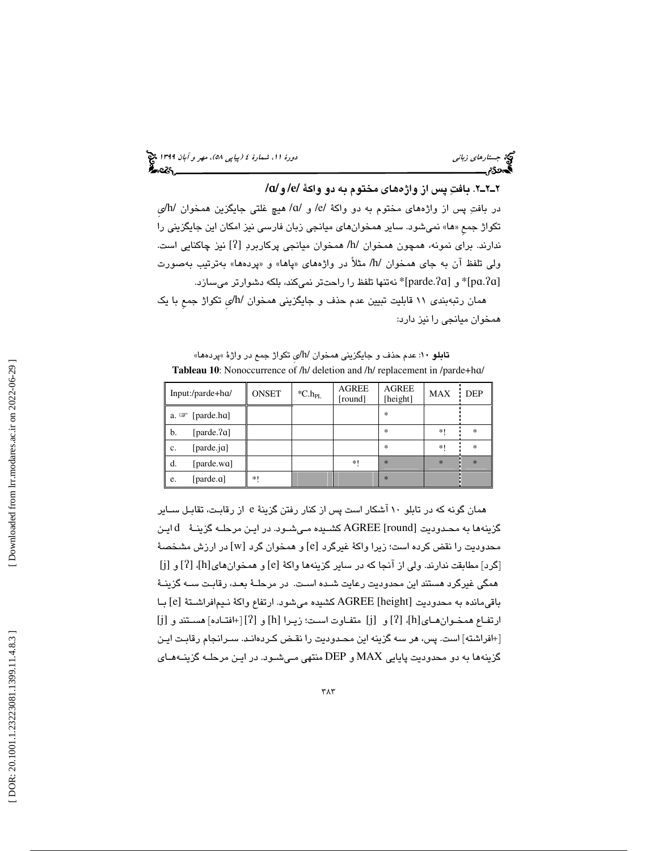. 2ـ2ـ2 بافت پس از واژههاي مختوم به دو واك ة **/e/** و **/**@**/** 

در بافتِ پس از واژههای مختوم به دو واکهٔ /e/ و /a/ هیچ غلتی جایگزین همخوان /h/ی تكواژ جمعِ «ها» نميشود. ساير همخوانهاي ميانجي زبان فارسي نيز امكان اين جايگزيني را ندارند. برای نمونه، همچون همخوان /h/ همخوان میانجی پرکاربردِ [?] نیز چاکنایی است. ولی تلفظ آن به جای همخوان /h/ مثلاً در واژههای «پاها» و «پردهها» بهترتیب بهصورت pa.?a]\* و [parde.?a\* نەتنها تلفظ را راحتتر نمىكند، بلكه دشوارتر مىسازد.

همان رتبهبندي 11 قابليت تبيين عدم حذف و جايگزيني همخوان /h/يِ تكواژ جمعِ با يك همخوان ميانجي را نيز دارد:

تابلو ۱۰: عدم حذف و جايگزيني همخوان /h/ي تكواژ جمع در واژهٔ »پردهها» Tableau 10: Nonoccurrence of /h/ deletion and /h/ replacement in /parde+ha/

| Input:/parde+ha/                      | <b>ONSET</b> | $^{\ast}C.h_{\rm PL}$ | <b>AGREE</b><br>[round] | <b>AGREE</b><br>[height] | <b>MAX</b> | $\cdot$ DEP |
|---------------------------------------|--------------|-----------------------|-------------------------|--------------------------|------------|-------------|
| [parde.ha]<br>$a \n\infty$            |              |                       |                         | $\ast$                   |            |             |
| [parde.?a]<br>b.                      |              |                       |                         | $\ast$                   | *1         | $\ast$      |
| [ $\text{parde}.$ $\text{ja}$ ]<br>c. |              |                       |                         | $\ast$                   | *1         | *           |
| [parde.wq]<br>d.                      |              |                       | *1                      | $*$                      | $*$        | $\ast$      |
| [parde.q]<br>e.                       | *1           |                       |                         | $*$                      |            |             |

همان گونه كه در تابلو 10 آشكار است پس از كنار رفتن گزين ة e از رقابـت، تقابـل سـاير گزينهها به محـدوديت AGREE [round] كشـيده مـيشـود. در ايـن مرحلـه گزينــهٔ  $\,$  ايـن محدوديت را نقض كرده است؛ زيرا واك ة غيرگرد [e [و همخوان گرد [w [در ارزش مشخص ة [گرد] مطابقت ندارند. ولي از آنجا كه در ساير گزينهها واكهٔ [e] و همخوانهاي[h]، [?] و [j] همگي غيرگرد هستند اين محدوديت رعايت شـده اسـت. در مرحلـ ة بعـد، رقابـت سـه گزينـ ة باقيمانده به محدوديت [height] AGREE كشيده مي شود. ارتفاع واكة نـيم افراشـتة [e] بـا ارتفـاع همخـوانهـاي[h]، [?] و [j] متفـاوت اسـت؛ زيـرا [h] و [?] [+افتـاده] هسـتند و [j] [+افراشته] است. پس، هر سه گزينه اين محـدوديت را نقـض كـرده انـد. سـرانجام رقابـت ايـن گزينهها به دو محدوديت پايايي MAX و DEP منتهي مـي شـود. در ايـن مرحلـه گزينـه هـاي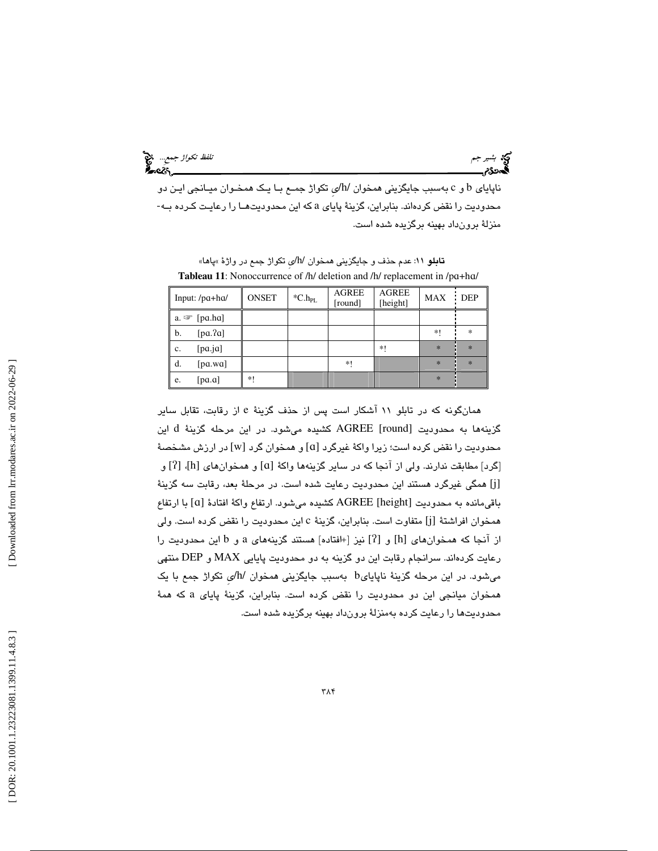بي بشير جم تلفظ تكو*اژ جمعي..*. المجمع العالمية التي تكون تكون جمعي... المجمع التي تكون تكون بين المجمع التي تك<br>ال**م**صورةم <u>المستخدم التي تكون التي تكون التي تكون التي تكون التي تكون التي تكون التي تكون التي تكون التي تكو</u>

ناپایای b و c بهسبب جایگزینی همخوان /h/ی تکواژ جمـع بـا یـک همخـوان میـانجی ایـن دو محدوديت را نقض كردهاند. بنابراين، گزينهٔ پاياى a كه اين محدوديتهــا را رعايـت كـرده بــه-منزلة برونداد بهينه برگزيده شده است.

| Input: /pa+ha/                | <b>ONSET</b> | $^{\ast}C.h_{\text{PL}}$ | <b>AGREE</b><br>[round] | <b>AGREE</b><br>[height] | MAX    | : DEP  |
|-------------------------------|--------------|--------------------------|-------------------------|--------------------------|--------|--------|
| [pa.ha]<br>$a. \n\mathcal{F}$ |              |                          |                         |                          |        |        |
| [pa.2a]<br>b.                 |              |                          |                         |                          | $*$ (  | $\ast$ |
| [pa.ja]<br>c.                 |              |                          |                         | *1                       | $*$    | $*$    |
| d.<br>[pa.wa]                 |              |                          | *1                      |                          | $*$    | $*$    |
| [pa.a]<br>e.                  | *1           |                          |                         |                          | $\ast$ |        |

تابلو 11: عدم حذف و جايگزيني همخوان /h/يِ تكواژ جمع » در واژة پاه »ا Tableau 11: Nonoccurrence of /h/ deletion and /h/ replacement in /pa+ha/

همانگونه كه در تابلو ١١ آشكار است پس از حذف گزينهٔ e از رقابت، تقابل ساير گزينهها به محدوديت [round] AGREE كشيده مي شود. در اين مرحله گزينهٔ d اين محدوديت را نقض كرده است؛ زيرا واكهٔ غيرگرد [ɑ] و همخوان گرد [w] در ارزش مشخصهٔ [گرد] مطابقت ندارند. ولی از آنجا که در سایر گزینهها واکهٔ [ɑ] و همخوانهای [h]، [ʔ] و [j] همگي غيرگرد هستند اين محدوديت رعايت شده است. در مرحلهٔ بعد، رقابت سه گزينهٔ باقيمانده به محدوديت [beight] AGREE كشيده ميشود. ارتفاع واكهٔ افتادهٔ [ɑ] با ارتفاع همخوان افراشتهٔ [j] متفاوت است. بنابراين، گزينهٔ c اين محدوديت را نقض كرده است. ولي از آنجا که همخوانهای [h] و [?] نیز [+افتاده] هستند گزینههای a و b این محدودیت را رعايت كرده اند. سرانجام رقابت اين دو گزينه به دو محدوديت پايايي MAX و DEP منتهي ميشود. در اين مرحله گزينهٔ ناپاياىb بهسبب جايگزيني همخوان /h/ي تكواژ جمع با يک همخوان ميانجي اين دو محدوديت را نقض كرده است. بنابراين، گزينهٔ پايا*ی* a كه همهٔ محدوديتها را رعايت كرده بهمنزلة برونداد بهينه برگزيده شده است.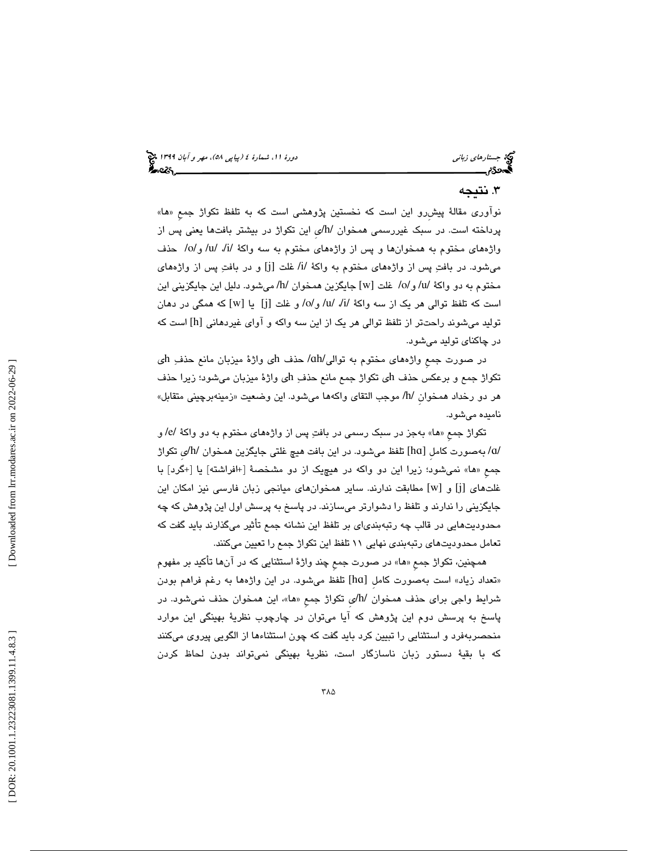# . نتيجه 3

نواوری مقالهٔ پیش رو این است که نخستین پژوهشی است که به تلفظ تکواژ جمع «ها» پرداخته است. در سبك غيررسمي همخوان /h/يِ اين تكواژ در بيشتر بافتها يعني پس از واژههاي مختوم به همخوانها و پس از واژههاي مختوم به سه واكهٔ /u/ /u/ و/o/ حذف مي شود. در بافتِ پس از واژههاي مختوم به واكهٔ /i/ غلت [j] و در بافتِ پس از واژههاي مختوم به دو واكهٔ /u/ و/o/ غلت [w] جايگزين همخوان /h/ ميشود. دليل اين جايگزيني اين است كه تلفظ توالي هر يك از سه واكهٔ /u/ /j، و/o/ و غلت [j] يا [w] كه همگي در دهان توليد ميشوند راحتتر از تلفظ توالي هر يك از اين سه واكه و آواي غيردهاني [h [است كه در چاكناي توليد ميشود.

در صورت جمع واژههای مختوم به توالی/ah/ حذف b واژهٔ میزبان مانع حذفِ b تكواژ جمع و برعكس حذف b، تكواژ جمع مانع حذفِ b واژهٔ ميزبان مىشود؛ زيرا حذف هر دو رخداد همخوان /h/ موجب التقاي واكهها ميشود. اين وضعيت «زمينهبرچيني متقابل» ناميده ميشود.

تكواژ جمع «ها» بهجز در سبک رسمی در بافتِ پس از واژههای مختوم به دو واكهٔ /e/ و /a/ بهصورت كامل [hɑ] تلفظ میشود. در این بافت هیچ غلتی جایگزین همخوان /h/ي تكواژ جمع «ها» نمیشود؛ زیرا این دو واكه در هیچیک از دو مشخصهٔ [+افراشته] یا [+گرد] با غلتهاي [j [و [w [مطابقت ندارند. ساير همخوان هاي ميانجي زبان فارسي نيز امكان اين جايگزيني را ندارند و تلفظ را دشوارتر ميسازند. در پاسخ به پرسش اول اين پژوهش كه چه محدوديتهايي در قالب چه رتبهبندي اي بر تلفظ اين نشانه جمع تأثير ميگذارند بايد گفت كه تعامل محدوديتهاي رتبهبندي نهايي 11 تلفظ اين تكواژ جمع را تعيين ميكنند.

همچنين، تكواژ جمع «ها» در صورت جمع چند واژهٔ استثنايي كه در انها تاكيد بر مفهوم «تعداد زياد» است بهصورت كامل [ha] تلفظ مىشود. در اين واژهها به رغم فراهم بودن شرايط واجي براي حذف همخوان /h/ي تكواژ جمع «ها»، اين همخوان حذف نميشود. در پاسخ به پرسش دوم اين پژوهش كه آيا ميتوان در چارچوب نظرية بهينگي اين موارد منحصربهفرد و استثنايي را تبيين كرد بايد گفت كه چون استثناءها از الگويي پيروي ميكنند كه با بقية دستور زبان ناسازگار است، نظرية بهينگي نميتواند بدون لحاظ كردن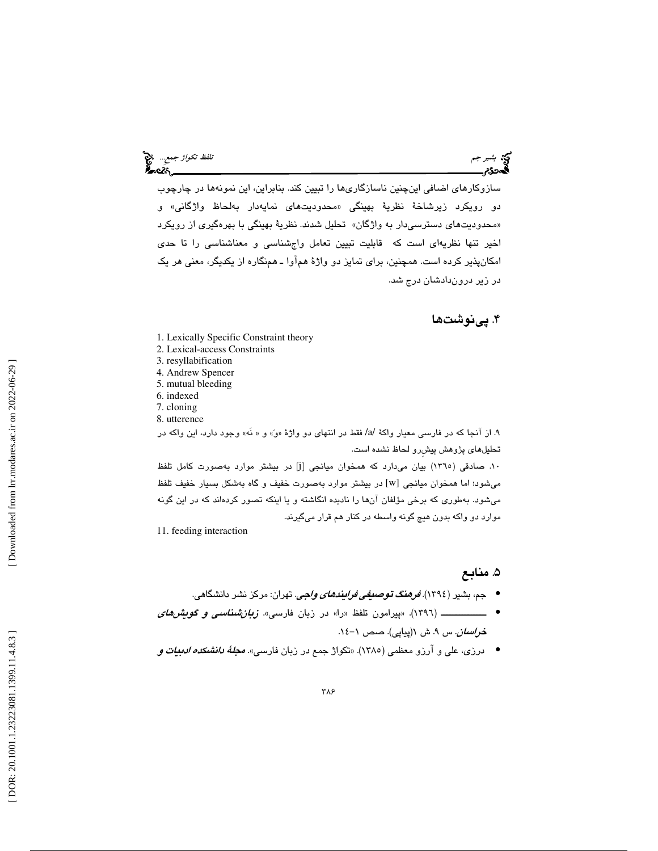# بشير جم تلفظ تكواژ جمع...ِ

سازوكارهاي اضافي اينچنين ناسازگاريها را تبيين كند. بنابراين، اين نمونهها در چارچوب دو رويكرد زيرشاخهٔ نظريهٔ بهينگي «محدوديتهای نمايەدار بەلحاظ واژگانی» و «محدوديتهاي دسترسيږار به واژگان» تحليل شدند. نظريۀ بهينگي با بهرهگيري از رويکرد اخير تنها نظريهاي است كه قابليت تبيين تعامل واجشناسي و معناشناسي را تا حدي امكانپذير كرده است. همچنين، براي تمايز دو واژة همآوا ـ همنگاره از يكديگر، معني هر يك در زير دروندادشان درج شد.

# . پينوشت ها 4

- 1. Lexically Specific Constraint theory
- 2. Lexical-access Constraints
- 3. resyllabification
- 4. Andrew Spencer
- 5. mutual bleeding
- 6. indexed
- 7. cloning 8. utterence
- 

. 9 از آنجا كه در فارسي معيار واكة /a/ طفق در انتهاي دو واژة » و »نَه« و » وجود دارد، اين واكه در تحليلهاي پژوهش پيشِرو لحاظ نشده است.

.10 صادقي (1365) بيان مي دارد كه همخوان ميانجي [ j [در بيشتر موارد بهصورت كامل تلفظ ميشود ؛ اما همخوان ميانجي [w [در بيشتر موارد بهصورت خفيف و گاه بهشكل بسيار خفيف تلفظ ميشود. بهطوري كه برخي مؤلفان آنها را ناديده انگاشته و يا اينكه تصور كردهاند كه در اين گونه موارد دو واكه بدون هيچ گونه واسطه در كنار هم قرار ميگيرند.

11. feeding interaction

# . منابع 5

- جم، بشير (١٣٩٤). *فرهنگ توصي<u>في</u> فرايندهاي واجي.* تهران: مركز نشر دانشگاهي.
- ـــــــــــــــ ( 1396). «پيرامون تلفظ » را« در زبان فارسي ». زبانشناسي و گويشهاي **خر***اسان.* **س ۹. ش ۱(پیاپی). صص ۱-۱**٤.
- درزی، علی و آرزو معظمی (١٣٨٥). «تكواژ جمع در زبان فارسی». *مجلهٔ دانشكد<i>ه ادبیات و*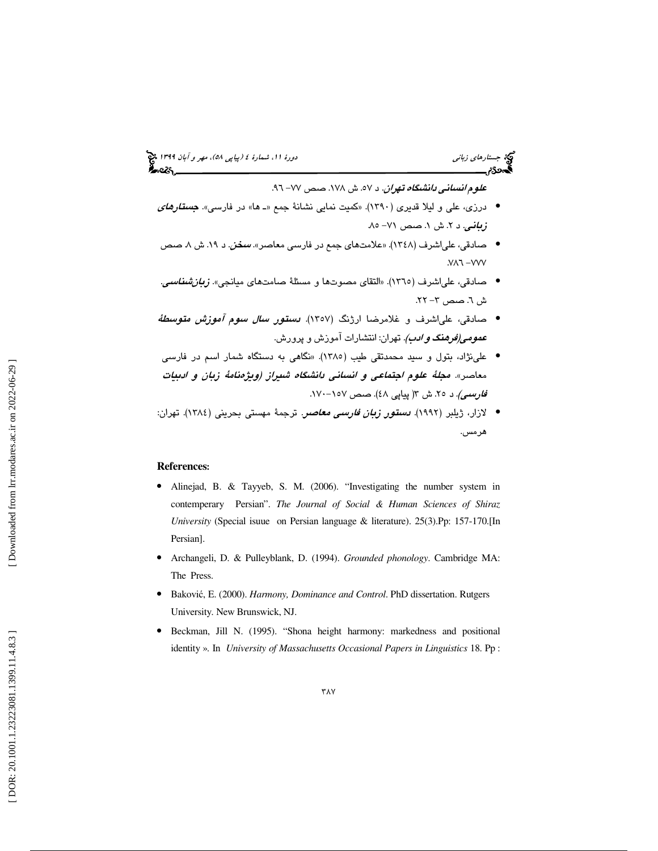# (پياپي 58)، مهر و آبان 1399 جستارهاي زباني دورة ،11 شمارة 4

عل*وم انساني دانشگاه تهران.* د ۵۷ ش ۱۷۸. صص ۷۷– ۹۲.

- درزی، علی و لیلا قدیری (۱۳۹۰). «کمیت نمایی نشانهٔ جمع «ـ ها» در فارسی». <del>دب</del>*ستارهای* ز*باني. د* ۲. ش ۱. صص ۷۱– ۸۰.
- صادقي، علي|شرف (١٣٤٨). «علامتهاي جمع در فارسي معاصر». *سخن*. د ١٩. ش ٨. صص  $IVAT - VVVV$
- صادقي، علىاشرف (١٣٦٥). «التقاي مصوتها و مسئلهٔ صامتهاي ميانجي». *زبانشناسي*. ش ٦. صص ٣– ٢٢.
- صادقی، علیاشرف و غلامرضا ارژنگ (۱۳۰۷). *دستور سال سوم آموزش متوسطهٔ* عمومي(فرهنگ و ادب). تهران: انتشارات آموزش و پرورش.
- علينژاد، بتول و سيد محمدتقي طيب (1385). «نگاهي به دستگاه شمار اسم در فارسي معاصر». م*جلهٔ علوم اجتماعی و انسانی دانشگاه شیراز (ویژهنامهٔ زبان و ادبیات* ف*ارسی).* د ۲۰. ش ۳( پیاپی ٤٨). صص ۱۵۷–۱۷۰.
- لازار، ژیلبر (۱۹۹۲). *دستقور زبان فارسی معاصر.* ترجمهٔ مهستی بحرینی (۱۳۸٤). تهران: هرمس.

#### **References** :

- Alinejad, B. & Tayyeb, S. M. (2006). "Investigating the number system in contemperary Persian". *The Journal of Social & Human Sciences of Shiraz University* (Special isuue on Persian language & literature). 25(3).Pp: 157-170.[In Persian].
- Archangeli, D. & Pulleyblank, D. (1994). *Grounded phonology*. Cambridge MA: The Press.
- Bakovi ć, E. (2000). *Harmony, Dominance and Control*. PhD dissertation. Rutgers University. New Brunswick, NJ.
- Beckman, Jill N. (1995). "Shona height harmony: markedness and positional identity ». In *University of Massachusetts Occasional Papers in Linguistics* 18. Pp :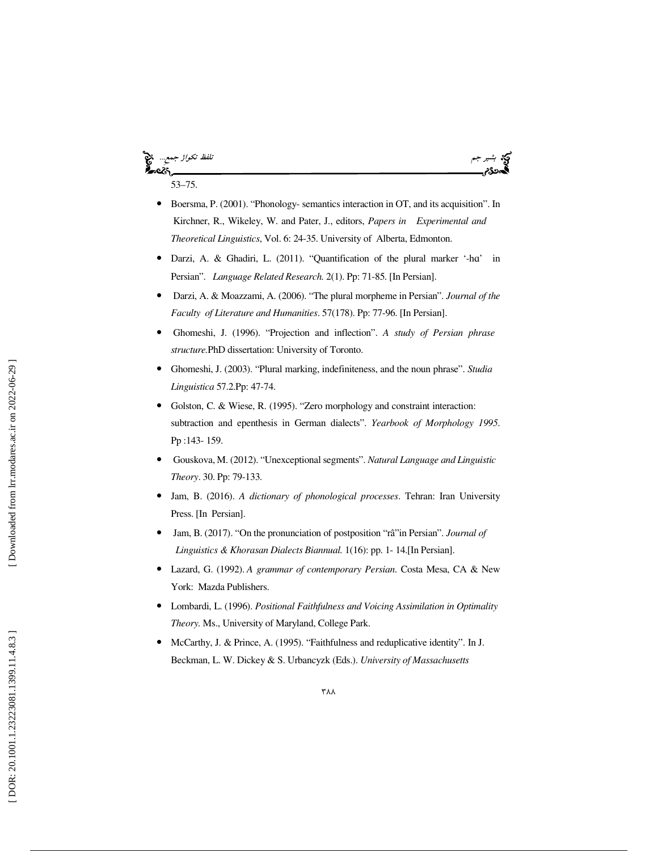بشير جم تلفظ تكواژ جمع...ِ

- 53–75.
- Boersma, P. (2001). "Phonology- semantics interaction in OT, and its acquisition". In Kirchner, R., Wikeley, W. and Pater, J., editors, *Papers in Experimental and Theoretical Linguistics*, Vol. 6: 24-35. University of Alberta, Edmonton.
- Darzi, A. & Ghadiri, L. (2011). "Quantification of the plural marker '-ha' in Persian". *Language Related Research.* 2(1). Pp: 71-85. [In Persian].
- Darzi, A. & Moazzami, A. (2006). "The plural morpheme in Persian". *Journal of the Faculty of Literature and Humanities*. 57(178). Pp: 77-96. [In Persian].
- Ghomeshi, J. (1996). "Projection and inflection". *A study of Persian phrase structure.*PhD dissertation: University of Toronto.
- Ghomeshi, J. (2003). "Plural marking, indefiniteness, and the noun phrase". *Studia Linguistica* 57.2.Pp: 47-74.
- Golston, C. & Wiese, R. (1995). "Zero morphology and constraint interaction: subtraction and epenthesis in German dialects". *Yearbook of Morphology 1995*. Pp :143- 159.
- Gouskova, M. (2012). "Unexceptional segments". *Natural Language and Linguistic Theory*. 30. Pp: 79-133.
- Jam, B. (2016). *A dictionary of phonological processes*. Tehran: Iran University Press. [In Persian].
- Jam, B. (2017). "On the pronunciation of postposition "râ"in Persian". *Journal of Linguistics & Khorasan Dialects Biannual.* 1(16): pp. 1- 14.[In Persian].
- Lazard, G. (1992). *A grammar of contemporary Persian*. Costa Mesa, CA & New York: Mazda Publishers.
- Lombardi, L. (1996). *Positional Faithfulness and Voicing Assimilation in Optimality Theory.* Ms., University of Maryland, College Park.
- McCarthy, J. & Prince, A. (1995). "Faithfulness and reduplicative identity". In J. Beckman, L. W. Dickey & S. Urbancyzk (Eds.). *University of Massachusetts*